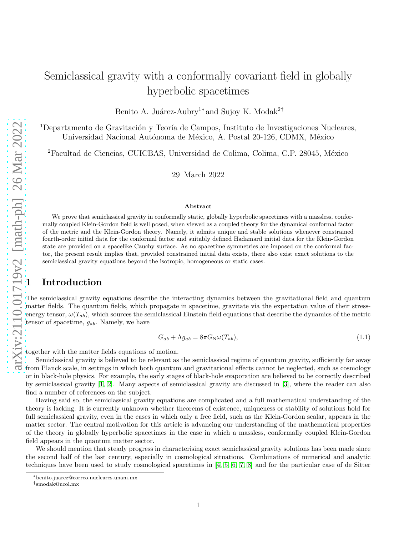# Semiclassical gravity with a conformally covariant field in globally hyperbolic spacetimes

Benito A. Juárez-Aubry<sup>1∗</sup> and Sujoy K. Modak<sup>2†</sup>

<sup>1</sup>Departamento de Gravitación y Teoría de Campos, Instituto de Investigaciones Nucleares, Universidad Nacional Autónoma de México, A. Postal 20-126, CDMX, México

<sup>2</sup>Facultad de Ciencias, CUICBAS, Universidad de Colima, Colima, C.P. 28045, México

29 March 2022

#### Abstract

We prove that semiclassical gravity in conformally static, globally hyperbolic spacetimes with a massless, conformally coupled Klein-Gordon field is well posed, when viewed as a coupled theory for the dynamical conformal factor of the metric and the Klein-Gordon theory. Namely, it admits unique and stable solutions whenever constrained fourth-order initial data for the conformal factor and suitably defined Hadamard initial data for the Klein-Gordon state are provided on a spacelike Cauchy surface. As no spacetime symmetries are imposed on the conformal factor, the present result implies that, provided constrained initial data exists, there also exist exact solutions to the semiclassical gravity equations beyond the isotropic, homogeneous or static cases.

### **Introduction**

The semiclassical gravity equations describe the interacting dynamics between the gravitational field and quantum matter fields. The quantum fields, which propagate in spacetime, gravitate via the expectation value of their stressenergy tensor,  $\omega(T_{ab})$ , which sources the semiclassical Einstein field equations that describe the dynamics of the metric tensor of spacetime,  $g_{ab}$ . Namely, we have

$$
G_{ab} + \Lambda g_{ab} = 8\pi G_{\mathcal{N}}\omega(T_{ab}),\tag{1.1}
$$

together with the matter fields equations of motion.

Semiclassical gravity is believed to be relevant as the semiclassical regime of quantum gravity, sufficiently far away from Planck scale, in settings in which both quantum and gravitational effects cannot be neglected, such as cosmology or in black-hole physics. For example, the early stages of black-hole evaporation are believed to be correctly described by semiclassical gravity [\[1,](#page-12-0) [2\]](#page-12-1). Many aspects of semiclassical gravity are discussed in [\[3\]](#page-13-0), where the reader can also find a number of references on the subject.

Having said so, the semiclassical gravity equations are complicated and a full mathematical understanding of the theory is lacking. It is currently unknown whether theorems of existence, uniqueness or stability of solutions hold for full semiclassical gravity, even in the cases in which only a free field, such as the Klein-Gordon scalar, appears in the matter sector. The central motivation for this article is advancing our understanding of the mathematical properties of the theory in globally hyperbolic spacetimes in the case in which a massless, conformally coupled Klein-Gordon field appears in the quantum matter sector.

We should mention that steady progress in characterising exact semiclassical gravity solutions has been made since the second half of the last century, especially in cosmological situations. Combinations of numerical and analytic techniques have been used to study cosmological spacetimes in [\[4,](#page-13-1) [5,](#page-13-2) [6,](#page-13-3) [7,](#page-13-4) [8\]](#page-13-5) and for the particular case of de Sitter

<sup>∗</sup>benito.juarez@correo.nucleares.unam.mx

<sup>†</sup> smodak@ucol.mx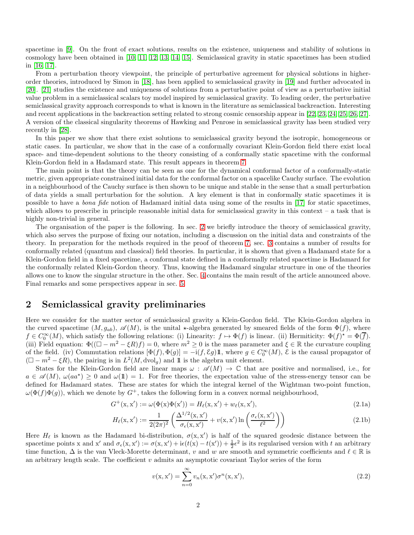spacetime in [\[9\]](#page-13-6). On the front of exact solutions, results on the existence, uniqueness and stability of solutions in cosmology have been obtained in [\[10,](#page-13-7) [11,](#page-13-8) [12,](#page-13-9) [13,](#page-13-10) [14,](#page-13-11) [15\]](#page-13-12). Semiclassical gravity in static spacetimes has been studied in [\[16,](#page-13-13) [17\]](#page-13-14).

From a perturbation theory viewpoint, the principle of perturbative agreement for physical solutions in higherorder theories, introduced by Simon in [\[18\]](#page-13-15), has been applied to semiclassical gravity in [\[19\]](#page-13-16) and further advocated in [\[20\]](#page-13-17). [\[21\]](#page-13-18) studies the existence and uniqueness of solutions from a perturbative point of view as a perturbative initial value problem in a semiclassical scalars toy model inspired by semiclassical gravity. To leading order, the perturbative semiclassical gravity approach corresponds to what is known in the literature as semiclassical backreaction. Interesting and recent applications in the backreaction setting related to strong cosmic censorship appear in [\[22,](#page-13-19) [23,](#page-14-0) [24,](#page-14-1) [25,](#page-14-2) [26,](#page-14-3) [27\]](#page-14-4). A version of the classical singularity theorems of Hawking and Penrose in semiclassical gravity has been studied very recently in [\[28\]](#page-14-5).

In this paper we show that there exist solutions to semiclassical gravity beyond the isotropic, homogeneous or static cases. In particular, we show that in the case of a conformally covariant Klein-Gordon field there exist local space- and time-dependent solutions to the theory consisting of a conformally static spacetime with the conformal Klein-Gordon field in a Hadamard state. This result appears in theorem [7.](#page-8-0)

The main point is that the theory can be seen as one for the dynamical conformal factor of a conformally-static metric, given appropriate constrained initial data for the conformal factor on a spacelike Cauchy surface. The evolution in a neighbourhood of the Cauchy surface is then shown to be unique and stable in the sense that a small perturbation of data yields a small perturbation for the solution. A key element is that in conformally static spacetimes it is possible to have a bona fide notion of Hadamard initial data using some of the results in [\[17\]](#page-13-14) for static spacetimes, which allows to prescribe in principle reasonable initial data for semiclassical gravity in this context – a task that is highly non-trivial in general.

The organisation of the paper is the following. In sec. [2](#page-1-0) we briefly introduce the theory of semiclassical gravity, which also serves the purpose of fixing our notation, including a discussion on the initial data and constraints of the theory. In preparation for the methods required in the proof of theorem [7,](#page-8-0) sec. [3](#page-5-0) contains a number of results for conformally related (quantum and classical) field theories. In particular, it is shown that given a Hadamard state for a Klein-Gordon field in a fixed spacetime, a conformal state defined in a conformally related spacetime is Hadamard for the conformally related Klein-Gordon theory. Thus, knowing the Hadamard singular structure in one of the theories allows one to know the singular structure in the other. Sec. [4](#page-7-0) contains the main result of the article announced above. Final remarks and some perspectives appear in sec. [5.](#page-11-0)

# <span id="page-1-0"></span>2 Semiclassical gravity preliminaries

Here we consider for the matter sector of semiclassical gravity a Klein-Gordon field. The Klein-Gordon algebra in the curved spacetime  $(M, g_{ab})$ ,  $\mathscr{A}(M)$ , is the unital  $\star$ -algebra generated by smeared fields of the form  $\Phi(f)$ , where  $f \in C_0^{\infty}(M)$ , which satisfy the following relations: (i) Linearity:  $f \mapsto \Phi(f)$  is linear. (ii) Hermiticity:  $\Phi(f)^* = \Phi(\overline{f})$ . (iii) Field equation:  $\Phi((\Box - m^2 - \xi R)f) = 0$ , where  $m^2 \ge 0$  is the mass parameter and  $\xi \in \mathbb{R}$  the curvature coupling of the field. (iv) Commutation relations  $[\Phi(f), \Phi(g)] = -i(f, \mathcal{E}g) \mathbb{1}$ , where  $g \in C_0^{\infty}(M)$ ,  $\mathcal{E}$  is the causal propagator of  $(\Box - m^2 - \xi R)$ , the pairing is in  $L^2(M, dvol_g)$  and 1 is the algebra unit element.

States for the Klein-Gordon field are linear maps  $\omega : \mathscr{A}(M) \to \mathbb{C}$  that are positive and normalised, i.e., for  $a \in \mathscr{A}(M)$ ,  $\omega(aa^*) \geq 0$  and  $\omega(\mathbb{1}) = 1$ . For free theories, the expectation value of the stress-energy tensor can be defined for Hadamard states. These are states for which the integral kernel of the Wightman two-point function,  $\omega(\Phi(f)\Phi(g))$ , which we denote by  $G^+$ , takes the following form in a convex normal neighbourhood,

$$
G^{+}(x, x') := \omega(\Phi(x)\Phi(x')) = H_{\ell}(x, x') + w_{\ell}(x, x'),
$$
\n(2.1a)

$$
H_{\ell}(\mathbf{x}, \mathbf{x}') := \frac{1}{2(2\pi)^2} \left( \frac{\Delta^{1/2}(\mathbf{x}, \mathbf{x}')}{\sigma_{\epsilon}(\mathbf{x}, \mathbf{x}')} + v(\mathbf{x}, \mathbf{x}') \ln \left( \frac{\sigma_{\epsilon}(\mathbf{x}, \mathbf{x}')}{\ell^2} \right) \right)
$$
(2.1b)

Here  $H_{\ell}$  is known as the Hadamard bi-distribution,  $\sigma(x, x')$  is half of the squared geodesic distance between the spacetime points x and x' and  $\sigma_{\epsilon}(x, x') := \sigma(x, x') + i\epsilon(t(x) - t(x')) + \frac{1}{2}\epsilon^2$  is its regularised version with t an arbitrary time function,  $\Delta$  is the van Vleck-Morette determinant, v and w are smooth and symmetric coefficients and  $\ell \in \mathbb{R}$  is an arbitrary length scale. The coefficient  $v$  admits an asymptotic covariant Taylor series of the form

<span id="page-1-1"></span>
$$
v(x, x') = \sum_{n=0}^{\infty} v_n(x, x') \sigma^n(x, x'),
$$
\n(2.2)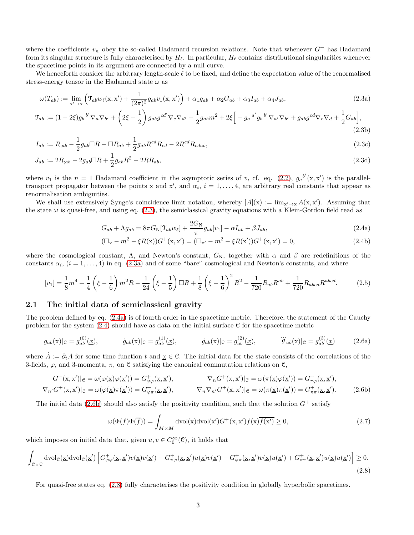where the coefficients  $v_n$  obey the so-called Hadamard recursion relations. Note that whenever  $G^+$  has Hadamard form its singular structure is fully characterised by  $H_{\ell}$ . In particular,  $H_{\ell}$  contains distributional singularities whenever the spacetime points in its argument are connected by a null curve.

We henceforth consider the arbitrary length-scale  $\ell$  to be fixed, and define the expectation value of the renormalised stress-energy tensor in the Hadamard state  $\omega$  as

<span id="page-2-0"></span>
$$
\omega(T_{ab}) := \lim_{x' \to x} \left( \mathcal{T}_{ab} w_{\ell}(x, x') + \frac{1}{(2\pi)^2} g_{ab} v_1(x, x') \right) + \alpha_1 g_{ab} + \alpha_2 G_{ab} + \alpha_3 I_{ab} + \alpha_4 J_{ab}, \tag{2.3a}
$$

$$
\mathcal{T}_{ab} := (1 - 2\xi)g_b{}^{b'}\nabla_a\nabla_{b'} + \left(2\xi - \frac{1}{2}\right)g_{ab}g^{cd'}\nabla_c\nabla_{d'} - \frac{1}{2}g_{ab}m^2 + 2\xi\Big[-g_a{}^{a'}g_b{}^{b'}\nabla_{a'}\nabla_{b'} + g_{ab}g^{cd}\nabla_c\nabla_d + \frac{1}{2}G_{ab}\Big],\tag{2.3b}
$$

$$
I_{ab} := R_{;ab} - \frac{1}{2}g_{ab} \Box R - \Box R_{ab} + \frac{1}{2}g_{ab}R^{cd}R_{cd} - 2R^{cd}R_{cdab},\tag{2.3c}
$$

$$
J_{ab} := 2R_{;ab} - 2g_{ab}\Box R + \frac{1}{2}g_{ab}R^2 - 2RR_{ab},\tag{2.3d}
$$

where  $v_1$  is the  $n = 1$  Hadamard coefficient in the asymptotic series of v, cf. eq. [\(2.2\)](#page-1-1),  $g_a^{b'}(x, x')$  is the paralleltransport propagator between the points x and x', and  $\alpha_i$ ,  $i = 1, \ldots, 4$ , are arbitrary real constants that appear as renormalisation ambiguities.

We shall use extensively Synge's coincidence limit notation, whereby  $[A](x) := \lim_{x' \to x} A(x, x')$ . Assuming that the state  $\omega$  is quasi-free, and using eq. [\(2.3\)](#page-2-0), the semiclassical gravity equations with a Klein-Gordon field read as

<span id="page-2-9"></span><span id="page-2-8"></span><span id="page-2-3"></span><span id="page-2-1"></span>
$$
G_{ab} + \Lambda g_{ab} = 8\pi G_{\mathcal{N}}[\mathcal{T}_{ab}w_{\ell}] + \frac{2G_{\mathcal{N}}}{\pi}g_{ab}[v_1] - \alpha I_{ab} + \beta J_{ab},\tag{2.4a}
$$

<span id="page-2-10"></span><span id="page-2-6"></span><span id="page-2-2"></span>
$$
(\Box_x - m^2 - \xi R(x))G^+(x, x') = (\Box_{x'} - m^2 - \xi R(x'))G^+(x, x') = 0,
$$
\n(2.4b)

where the cosmological constant,  $\Lambda$ , and Newton's constant,  $G_N$ , together with  $\alpha$  and  $\beta$  are redefinitions of the constants  $\alpha_i$ ,  $(i = 1, ..., 4)$  in eq. [\(2.3a\)](#page-2-1) and of some "bare" cosmological and Newton's constants, and where

$$
[v_1] = \frac{1}{8}m^4 + \frac{1}{4}\left(\xi - \frac{1}{6}\right)m^2R - \frac{1}{24}\left(\xi - \frac{1}{5}\right)\Box R + \frac{1}{8}\left(\xi - \frac{1}{6}\right)^2R^2 - \frac{1}{720}R_{ab}R^{ab} + \frac{1}{720}R_{abcd}R^{abcd}.
$$
 (2.5)

#### 2.1 The initial data of semiclassical gravity

The problem defined by eq. [\(2.4a\)](#page-2-2) is of fourth order in the spacetime metric. Therefore, the statement of the Cauchy problem for the system [\(2.4\)](#page-2-3) should have as data on the initial surface C for the spacetime metric

$$
g_{ab}(\mathbf{x})|_{\mathcal{C}} = g_{ab}^{(0)}(\underline{x}), \qquad \dot{g}_{ab}(\mathbf{x})|_{\mathcal{C}} = g_{ab}^{(1)}(\underline{x}), \qquad \ddot{g}_{ab}(\mathbf{x})|_{\mathcal{C}} = g_{ab}^{(2)}(\underline{x}), \qquad \dddot{g}_{ab}(\mathbf{x})|_{\mathcal{C}} = g_{ab}^{(3)}(\underline{x}) \qquad (2.6a)
$$

where  $A := \partial_t A$  for some time function t and  $\underline{x} \in \mathcal{C}$ . The initial data for the state consists of the correlations of the 3-fields,  $\varphi$ , and 3-momenta,  $\pi$ , on C satisfying the canonical commutation relations on C,

$$
G^+(x, x')|_{\mathcal{C}} = \omega(\varphi(\underline{x})\varphi(\underline{x}')) = G^+_{\varphi\varphi}(\underline{x}, \underline{x}'), \qquad \nabla_n G^+(\underline{x}, x')|_{\mathcal{C}} = \omega(\pi(\underline{x})\varphi(\underline{x}')) = G^+_{\pi\varphi}(\underline{x}, \underline{x}'),
$$
\n
$$
\nabla_n G^+(\underline{x}, x')|_{\mathcal{C}} = \omega(\varphi(\underline{x})\pi(\underline{x}')) = G^+_{\varphi\pi}(\underline{x}, \underline{x}'), \qquad \nabla_n \nabla_n G^+(\underline{x}, x')|_{\mathcal{C}} = \omega(\pi(\underline{x})\pi(\underline{x}')) = G^+_{\pi\pi}(\underline{x}, \underline{x}'). \qquad (2.6b)
$$

The initial data [\(2.6b\)](#page-2-4) should also satisfy the positivity condition, such that the solution  $G^+$  satisfy

<span id="page-2-11"></span><span id="page-2-7"></span><span id="page-2-5"></span><span id="page-2-4"></span>
$$
\omega(\Phi(f)\Phi(\overline{f})) = \int_{M \times M} \text{dvol}(\mathbf{x}) \text{dvol}(\mathbf{x}') G^{+}(\mathbf{x}, \mathbf{x}') f(\mathbf{x}) \overline{f(\mathbf{x}')} \ge 0,
$$
\n(2.7)

which imposes on initial data that, given  $u, v \in C_0^{\infty}(\mathcal{C})$ , it holds that

$$
\int_{\mathcal{C}\times\mathcal{C}} d\mathrm{vol}_{\mathcal{C}}(\underline{x}) d\mathrm{vol}_{\mathcal{C}}(\underline{x}') \left[ G^{+}_{\varphi\varphi}(\underline{x},\underline{x}')v(\underline{x})\overline{v(\underline{x}')} - G^{+}_{\pi\varphi}(\underline{x},\underline{x}')u(\underline{x})\overline{v(\underline{x}')} - G^{+}_{\varphi\pi}(\underline{x},\underline{x}')v(\underline{x})\overline{u(\underline{x}')} + G^{+}_{\pi\pi}(\underline{x},\underline{x}')u(\underline{x})\overline{u(\underline{x}')} \right] \ge 0.
$$
\n(2.8)

For quasi-free states eq. [\(2.8\)](#page-2-5) fully characterises the positivity condition in globally hyperbolic spacetimes.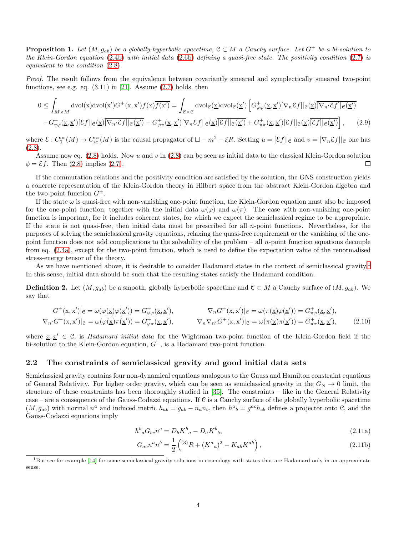<span id="page-3-1"></span>**Proposition 1.** Let  $(M, g_{ab})$  be a globally-hyperbolic spacetime,  $C \subset M$  a Cauchy surface. Let  $G^+$  be a bi-solution to the Klein-Gordon equation [\(2.4b\)](#page-2-6) with initial data [\(2.6b\)](#page-2-4) defining a quasi-free state. The positivity condition [\(2.7\)](#page-2-7) is equivalent to the condition [\(2.8\)](#page-2-5).

Proof. The result follows from the equivalence between covariantly smeared and symplectically smeared two-point functions, see e.g. eq.  $(3.11)$  in [\[21\]](#page-13-18). Assume  $(2.7)$  holds, then

$$
0 \leq \int_{M \times M} \text{dvol}(\mathbf{x}) \text{dvol}(\mathbf{x}') G^{+}(\mathbf{x}, \mathbf{x}') f(\mathbf{x}) \overline{f(\mathbf{x}')} = \int_{\mathcal{C} \times \mathcal{C}} \text{dvol}_{\mathcal{C}}(\underline{\mathbf{x}}) \text{dvol}_{\mathcal{C}}(\underline{\mathbf{x}}') \left[ G^{+}_{\varphi\varphi}(\underline{\mathbf{x}}, \underline{\mathbf{x}}') [\nabla_{n} \mathcal{E} f] |_{\mathcal{C}}(\underline{\mathbf{x}}') \overline{[\nabla_{n'} \mathcal{E} f] |_{\mathcal{C}}(\underline{\mathbf{x}}')} - G^{+}_{\pi\varphi}(\underline{\mathbf{x}}, \underline{\mathbf{x}}') [\nabla_{n} \mathcal{E} f] |_{\mathcal{C}}(\underline{\mathbf{x}}') \overline{[\nabla_{n'} \mathcal{E} f] |_{\mathcal{C}}(\underline{\mathbf{x}}')} - G^{+}_{\pi\pi}(\underline{\mathbf{x}}, \underline{\mathbf{x}}') [\nabla_{n} \mathcal{E} f] |_{\mathcal{C}}(\underline{\mathbf{x}}') \overline{[\nabla f] |_{\mathcal{C}}(\underline{\mathbf{x}}')} + G^{+}_{\pi\pi}(\underline{\mathbf{x}}, \underline{\mathbf{x}}') [\nabla f] |_{\mathcal{C}}(\underline{\mathbf{x}}') \left[ \mathcal{E} f] |_{\mathcal{C}}(\underline{\mathbf{x}}') \right], \tag{2.9}
$$

where  $\mathcal{E}: C_0^{\infty}(M) \to C_{\rm sc}^{\infty}(M)$  is the causal propagator of  $\Box - m^2 - \xi R$ . Setting  $u = [\mathcal{E}f]|_{\mathcal{C}}$  and  $v = [\nabla_n \mathcal{E}f]|_{\mathcal{C}}$  one has  $(2.8).$  $(2.8).$ 

Assume now eq.  $(2.8)$  holds. Now u and v in  $(2.8)$  can be seen as initial data to the classical Klein-Gordon solution  $\phi = \mathcal{E}f$ . Then [\(2.8\)](#page-2-5) implies [\(2.7\)](#page-2-7). П

If the commutation relations and the positivity condition are satisfied by the solution, the GNS construction yields a concrete representation of the Klein-Gordon theory in Hilbert space from the abstract Klein-Gordon algebra and the two-point function  $G^+$ .

If the state  $\omega$  is quasi-free with non-vanishing one-point function, the Klein-Gordon equation must also be imposed for the one-point function, together with the initial data  $\omega(\varphi)$  and  $\omega(\pi)$ . The case with non-vanishing one-point function is important, for it includes coherent states, for which we expect the semiclassical regime to be appropriate. If the state is not quasi-free, then initial data must be prescribed for all n-point functions. Nevertheless, for the purposes of solving the semiclassical gravity equations, relaxing the quasi-free requirement or the vanishing of the onepoint function does not add complications to the solvability of the problem – all n-point function equations decouple from eq. [\(2.4a\)](#page-2-2), except for the two-point function, which is used to define the expectation value of the renormalised stress-energy tensor of the theory.

As we have mentioned above, it is desirable to consider Hadamard states in the context of semiclassical gravity.<sup>[1](#page-3-0)</sup> In this sense, initial data should be such that the resulting states satisfy the Hadamard condition.

**Definition 2.** Let  $(M, g_{ab})$  be a smooth, globally hyperbolic spacetime and  $\mathcal{C} \subset M$  a Cauchy surface of  $(M, g_{ab})$ . We say that

$$
G^+(x, x')|_e = \omega(\varphi(\underline{x})\varphi(\underline{x}')) = G^+_{\varphi\varphi}(\underline{x}, \underline{x}'), \qquad \nabla_n G^+(\underline{x}, x')|_e = \omega(\pi(\underline{x})\varphi(\underline{x}')) = G^+_{\pi\varphi}(\underline{x}, \underline{x}'),
$$
\n
$$
\nabla_n G^+(\underline{x}, x')|_e = \omega(\varphi(\underline{x})\pi(\underline{x}')) = G^+_{\varphi\pi}(\underline{x}, \underline{x}'), \qquad \nabla_n \nabla_n G^+(\underline{x}, x')|_e = \omega(\pi(\underline{x})\pi(\underline{x}')) = G^+_{\pi\pi}(\underline{x}, \underline{x}'), \qquad (2.10)
$$

where  $x, x' \in \mathcal{C}$ , is Hadamard initial data for the Wightman two-point function of the Klein-Gordon field if the bi-solution to the Klein-Gordon equation,  $G^+$ , is a Hadamard two-point function.

#### <span id="page-3-2"></span>2.2 The constraints of semiclassical gravity and good initial data sets

Semiclassical gravity contains four non-dynamical equations analogous to the Gauss and Hamilton constraint equations of General Relativity. For higher order gravity, which can be seen as semiclassical gravity in the  $G_N \to 0$  limit, the structure of these constraints has been thoroughly studied in [\[35\]](#page-14-6). The constraints – like in the General Relativity case – are a consequence of the Gauss-Codazzi equations. If  $C$  is a Cauchy surface of the globally hyperbolic spacetime  $(M, g_{ab})$  with normal  $n^a$  and induced metric  $h_{ab} = g_{ab} - n_a n_b$ , then  $h^a{}_b = g^{ac} h_{cb}$  defines a projector onto  $\mathcal{C}$ , and the Gauss-Codazzi equations imply

$$
h^b{}_a G_{bc} n^c = D_b K^b{}_a - D_a K^b{}_b,\tag{2.11a}
$$

$$
G_{ab}n^a n^b = \frac{1}{2} \left( {}^{(3)}R + (K^a{}_a)^2 - K_{ab}K^{ab} \right), \tag{2.11b}
$$

<span id="page-3-0"></span><sup>&</sup>lt;sup>1</sup>But see for example [\[14\]](#page-13-11) for some semiclassical gravity solutions in cosmology with states that are Hadamard only in an approximate sense.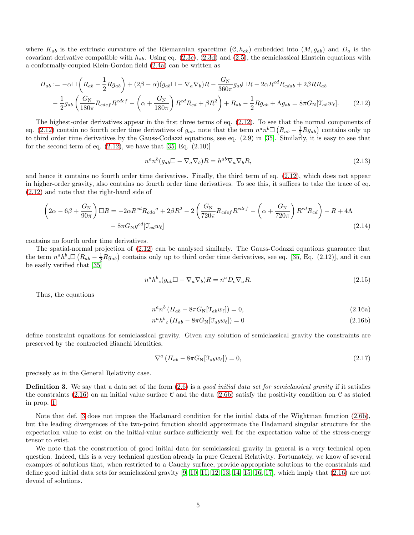where  $K_{ab}$  is the extrinsic curvature of the Riemannian spacetime  $(\mathcal{C}, h_{ab})$  embedded into  $(M, g_{ab})$  and  $D_a$  is the covariant derivative compatible with  $h_{ab}$ . Using eq. [\(2.3c\)](#page-2-8), [\(2.3d\)](#page-2-9) and [\(2.5\)](#page-2-10), the semiclassical Einstein equations with a conformally-coupled Klein-Gordon field [\(2.4a\)](#page-2-2) can be written as

$$
H_{ab} := -\alpha \Box \left( R_{ab} - \frac{1}{2} R g_{ab} \right) + (2\beta - \alpha)(g_{ab} \Box - \nabla_a \nabla_b)R - \frac{G_N}{360\pi} g_{ab} \Box R - 2\alpha R^{cd} R_{cdab} + 2\beta R R_{ab}
$$

$$
- \frac{1}{2} g_{ab} \left( \frac{G_N}{180\pi} R_{cdef} R^{cdef} - \left( \alpha + \frac{G_N}{180\pi} \right) R^{cd} R_{cd} + \beta R^2 \right) + R_{ab} - \frac{1}{2} R g_{ab} + \Lambda g_{ab} = 8\pi G_N [\mathcal{T}_{ab} w_\ell]. \tag{2.12}
$$

The highest-order derivatives appear in the first three terms of eq. [\(2.12\)](#page-4-0). To see that the normal components of eq. [\(2.12\)](#page-4-0) contain no fourth order time derivatives of  $g_{ab}$ , note that the term  $n^a n^b \Box (R_{ab} - \frac{1}{2}Rg_{ab})$  contains only up to third order time derivatives by the Gauss-Codazzi equations, see eq. (2.9) in [\[35\]](#page-14-6). Similarly, it is easy to see that for the second term of eq.  $(2.12)$ , we have that  $[35, Eq. (2.10)]$ 

<span id="page-4-0"></span>
$$
n^a n^b (g_{ab} \Box - \nabla_a \nabla_b) R = h^{ab} \nabla_a \nabla_b R,
$$
\n(2.13)

and hence it contains no fourth order time derivatives. Finally, the third term of eq. [\(2.12\)](#page-4-0), which does not appear in higher-order gravity, also contains no fourth order time derivatives. To see this, it suffices to take the trace of eq. [\(2.12\)](#page-4-0) and note that the right-hand side of

$$
\left(2\alpha - 6\beta + \frac{G_N}{90\pi}\right)\Box R = -2\alpha R^{cd}R_{cda}^{a} + 2\beta R^{2} - 2\left(\frac{G_N}{720\pi}R_{cdef}R^{cdef} - \left(\alpha + \frac{G_N}{720\pi}\right)R^{cd}R_{cd}\right) - R + 4\Lambda
$$

$$
-8\pi G_N g^{cd}[\mathcal{T}_{cd}w_{\ell}]
$$
\n(2.14)

contains no fourth order time derivatives.

The spatial-normal projection of [\(2.12\)](#page-4-0) can be analysed similarly. The Gauss-Codazzi equations guarantee that the term  $n^a h^b{}_c \Box (R_{ab} - \frac{1}{2} R g_{ab})$  contains only up to third order time derivatives, see eq. [\[35,](#page-14-6) Eq. (2.12)], and it can be easily verified that [\[35\]](#page-14-6)

<span id="page-4-1"></span>
$$
n^a h^b{}_c(g_{ab} \Box - \nabla_a \nabla_b) R = n^a D_c \nabla_a R. \tag{2.15}
$$

Thus, the equations

$$
n^a n^b \left( H_{ab} - 8\pi G_N[\mathcal{T}_{ab} w_\ell] \right) = 0,\tag{2.16a}
$$

$$
n^a h^b{}_c (H_{ab} - 8\pi G_{\rm N} [\mathcal{T}_{ab} w_\ell]) = 0 \tag{2.16b}
$$

define constraint equations for semiclassical gravity. Given any solution of semiclassical gravity the constraints are preserved by the contracted Bianchi identities,

$$
\nabla^{a} \left( H_{ab} - 8\pi G_{\mathcal{N}} [\mathcal{T}_{ab} w_{\ell}] \right) = 0, \qquad (2.17)
$$

precisely as in the General Relativity case.

<span id="page-4-2"></span>**Definition 3.** We say that a data set of the form  $(2.6)$  is a good initial data set for semiclassical gravity if it satisfies the constraints [\(2.16\)](#page-4-1) on an initial value surface C and the data [\(2.6b\)](#page-2-4) satisfy the positivity condition on C as stated in prop. [1.](#page-3-1)

Note that def. [3](#page-4-2) does not impose the Hadamard condition for the initial data of the Wightman function [\(2.6b\)](#page-2-4), but the leading divergences of the two-point function should approximate the Hadamard singular structure for the expectation value to exist on the initial-value surface sufficiently well for the expectation value of the stress-energy tensor to exist.

We note that the construction of good initial data for semiclassical gravity in general is a very technical open question. Indeed, this is a very technical question already in pure General Relativity. Fortunately, we know of several examples of solutions that, when restricted to a Cauchy surface, provide appropriate solutions to the constraints and define good initial data sets for semiclassical gravity  $[9, 10, 11, 12, 13, 14, 15, 16, 17]$  $[9, 10, 11, 12, 13, 14, 15, 16, 17]$  $[9, 10, 11, 12, 13, 14, 15, 16, 17]$  $[9, 10, 11, 12, 13, 14, 15, 16, 17]$  $[9, 10, 11, 12, 13, 14, 15, 16, 17]$  $[9, 10, 11, 12, 13, 14, 15, 16, 17]$  $[9, 10, 11, 12, 13, 14, 15, 16, 17]$  $[9, 10, 11, 12, 13, 14, 15, 16, 17]$  $[9, 10, 11, 12, 13, 14, 15, 16, 17]$  $[9, 10, 11, 12, 13, 14, 15, 16, 17]$ , which imply that  $(2.16)$  are not devoid of solutions.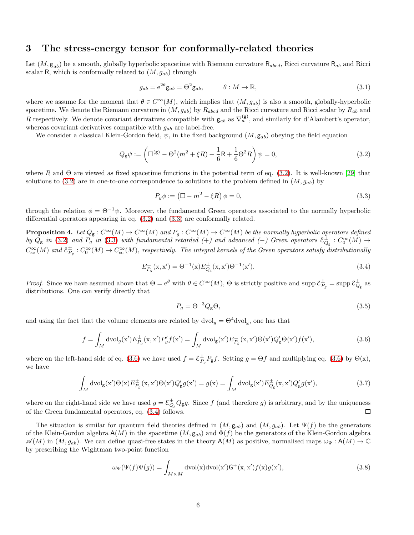# <span id="page-5-0"></span>3 The stress-energy tensor for conformally-related theories

Let  $(M, g_{ab})$  be a smooth, globally hyperbolic spacetime with Riemann curvature  $\mathsf{R}_{abcd}$ , Ricci curvature  $\mathsf{R}_{ab}$  and Ricci scalar R, which is conformally related to  $(M, g_{ab})$  through

$$
g_{ab} = e^{2\theta} \mathbf{g}_{ab} = \Theta^2 \mathbf{g}_{ab}, \qquad \theta : M \to \mathbb{R}, \qquad (3.1)
$$

where we assume for the moment that  $\theta \in C^{\infty}(M)$ , which implies that  $(M, g_{ab})$  is also a smooth, globally-hyperbolic spacetime. We denote the Riemann curvature in  $(M, g_{ab})$  by  $R_{abcd}$  and the Ricci curvature and Ricci scalar by  $R_{ab}$  and R respectively. We denote covariant derivatives compatible with  $g_{ab}$  as  $\nabla_a^{(g)}$ , and similarly for d'Alambert's operator, whereas covariant derivatives compatible with  $g_{ab}$  are label-free.

We consider a classical Klein-Gordon field,  $\psi$ , in the fixed background  $(M, g_{ab})$  obeying the field equation

$$
Q_{\mathsf{g}}\psi := \left(\Box^{(\mathsf{g})} - \Theta^2(m^2 + \xi R) - \frac{1}{6}\mathsf{R} + \frac{1}{6}\Theta^2 R\right)\psi = 0,\tag{3.2}
$$

where R and  $\Theta$  are viewed as fixed spacetime functions in the potential term of eq. [\(3.2\)](#page-5-1). It is well-known [\[29\]](#page-14-7) that solutions to [\(3.2\)](#page-5-1) are in one-to-one correspondence to solutions to the problem defined in  $(M, g_{ab})$  by

<span id="page-5-2"></span><span id="page-5-1"></span>
$$
P_g \phi := \left(\Box - m^2 - \xi R\right) \phi = 0,\tag{3.3}
$$

through the relation  $\phi = \Theta^{-1}\psi$ . Moreover, the fundamental Green operators associated to the normally hyperbolic differential operators appearing in eq. [\(3.2\)](#page-5-1) and [\(3.3\)](#page-5-2) are conformally related.

<span id="page-5-6"></span>**Proposition 4.** Let  $Q_{\mathsf{g}}: C^{\infty}(M) \to C^{\infty}(M)$  and  $P_g: C^{\infty}(M) \to C^{\infty}(M)$  be the normally hyperbolic operators defined by  $Q_{\rm g}$  in [\(3.2\)](#page-5-1) and  $P_{g}$  in [\(3.3\)](#page-5-2) with fundamental retarded (+) and advanced (−) Green operators  $\mathcal{E}^{\pm}_{Q_{\rm g}}: C_0^{\infty}(M) \to$  $C^{\infty}_{\rm sc}(M)$  and  ${\mathcal E}^\pm_{P_g}:C^{\infty}_0(M)\to C^{\infty}_{\rm sc}(M)$ , respectively. The integral kernels of the Green operators satisfy distributionally

$$
E_{P_g}^{\pm}(\mathbf{x}, \mathbf{x}') = \Theta^{-1}(\mathbf{x}) E_{Q_g}^{\pm}(\mathbf{x}, \mathbf{x}') \Theta^{-1}(\mathbf{x}'). \tag{3.4}
$$

Proof. Since we have assumed above that  $\Theta = e^{\theta}$  with  $\theta \in C^{\infty}(M)$ ,  $\Theta$  is strictly positive and supp  $\mathcal{E}_{P_g}^{\pm} = \sup p \mathcal{E}_{Q_g}^{\pm}$  as distributions. One can verify directly that

<span id="page-5-5"></span><span id="page-5-4"></span><span id="page-5-3"></span>
$$
P_g = \Theta^{-3} Q_{\rm g} \Theta,\tag{3.5}
$$

and using the fact that the volume elements are related by  $dvol_g = \Theta^4 dvol_g$ , one has that

$$
f = \int_M \mathrm{dvol}_g(\mathbf{x}') E_{P_g}^{\pm}(\mathbf{x}, \mathbf{x}') P_g' f(\mathbf{x}') = \int_M \mathrm{dvol}_g(\mathbf{x}') E_{P_g}^{\pm}(\mathbf{x}, \mathbf{x}') \Theta(\mathbf{x}') Q_g' \Theta(\mathbf{x}') f(\mathbf{x}'),\tag{3.6}
$$

where on the left-hand side of eq. [\(3.6\)](#page-5-3) we have used  $f = \mathcal{E}_{P_g}^{\pm} P_{\mathsf{g}} f$ . Setting  $g = \Theta f$  and multiplying eq. (3.6) by  $\Theta(\mathbf{x})$ , we have

$$
\int_M \mathrm{dvol}_g(\mathbf{x}') \Theta(\mathbf{x}) E_{P_g}^{\pm}(\mathbf{x}, \mathbf{x}') \Theta(\mathbf{x}') Q'_g g(\mathbf{x}') = g(\mathbf{x}) = \int_M \mathrm{dvol}_g(\mathbf{x}') E_{Q_g}^{\pm}(\mathbf{x}, \mathbf{x}') Q'_g g(\mathbf{x}'),\tag{3.7}
$$

where on the right-hand side we have used  $g = \mathcal{E}^{\pm}_{Q_g} Q_g g$ . Since f (and therefore g) is arbitrary, and by the uniqueness of the Green fundamental operators, eq. [\(3.4\)](#page-5-4) follows.  $\Box$ 

The situation is similar for quantum field theories defined in  $(M, g_{ab})$  and  $(M, g_{ab})$ . Let  $\Psi(f)$  be the generators of the Klein-Gordon algebra  $A(M)$  in the spacetime  $(M, g_{ab})$  and  $\Phi(f)$  be the generators of the Klein-Gordon algebra  $\mathscr{A}(M)$  in  $(M, g_{ab})$ . We can define quasi-free states in the theory  $A(M)$  as positive, normalised maps  $\omega_{\Psi} : A(M) \to \mathbb{C}$ by prescribing the Wightman two-point function

$$
\omega_{\Psi}(\Psi(f)\Psi(g)) = \int_{M \times M} \mathrm{dvol}(\mathbf{x}) \mathrm{dvol}(\mathbf{x}') \mathsf{G}^+(\mathbf{x}, \mathbf{x}') f(\mathbf{x}) g(\mathbf{x}'),\tag{3.8}
$$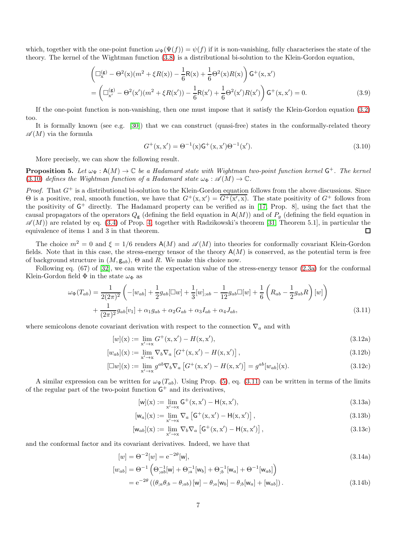which, together with the one-point function  $\omega_{\Psi}(\Psi(f)) = \psi(f)$  if it is non-vanishing, fully characterises the state of the theory. The kernel of the Wightman function [\(3.8\)](#page-5-5) is a distributional bi-solution to the Klein-Gordon equation,

$$
\left(\Box_{x}^{(g)} - \Theta^{2}(x)(m^{2} + \xi R(x)) - \frac{1}{6}R(x) + \frac{1}{6}\Theta^{2}(x)R(x)\right)G^{+}(x, x')
$$
  
= 
$$
\left(\Box_{x'}^{(g)} - \Theta^{2}(x')(m^{2} + \xi R(x')) - \frac{1}{6}R(x') + \frac{1}{6}\Theta^{2}(x')R(x')\right)G^{+}(x, x') = 0.
$$
 (3.9)

If the one-point function is non-vanishing, then one must impose that it satisfy the Klein-Gordon equation [\(3.2\)](#page-5-1) too.

It is formally known (see e.g. [\[30\]](#page-14-8)) that we can construct (quasi-free) states in the conformally-related theory  $\mathscr{A}(M)$  via the formula

<span id="page-6-0"></span>
$$
G^{+}(\mathbf{x}, \mathbf{x}') = \Theta^{-1}(\mathbf{x})\mathsf{G}^{+}(\mathbf{x}, \mathbf{x}')\Theta^{-1}(\mathbf{x}'). \tag{3.10}
$$

More precisely, we can show the following result.

<span id="page-6-1"></span>**Proposition 5.** Let  $\omega_{\Psi} : A(M) \to \mathbb{C}$  be a Hadamard state with Wightman two-point function kernel  $\mathsf{G}^+$ . The kernel [\(3.10\)](#page-6-0) defines the Wightman function of a Hadamard state  $\omega_{\Phi}: \mathscr{A}(M) \to \mathbb{C}$ .

*Proof.* That  $G^+$  is a distributional bi-solution to the Klein-Gordon equation follows from the above discussions. Since  $\Theta$  is a positive, real, smooth function, we have that  $G^+(x,x') = \overline{G^+(x',x)}$ . The state positivity of  $G^+$  follows from the positivity of  $G^+$  directly. The Hadamard property can be verified as in [\[17,](#page-13-14) Prop. 8], using the fact that the causal propagators of the operators  $Q_{\rm g}$  (defining the field equation in  $A(M)$ ) and of  $P_{q}$  (defining the field equation in  $\mathscr{A}(M)$  are related by eq. [\(3.4\)](#page-5-4) of Prop. [4,](#page-5-6) together with Radzikowski's theorem [\[31,](#page-14-9) Theorem 5.1], in particular the equivalence of items 1 and 3 in that theorem. □

The choice  $m^2 = 0$  and  $\xi = 1/6$  renders  $A(M)$  and  $\mathscr{A}(M)$  into theories for conformally covariant Klein-Gordon fields. Note that in this case, the stress-energy tensor of the theory  $A(M)$  is conserved, as the potential term is free of background structure in  $(M, g_{ab})$ ,  $\Theta$  and R. We make this choice now.

Following eq. (67) of [\[32\]](#page-14-10), we can write the expectation value of the stress-energy tensor [\(2.3a\)](#page-2-1) for the conformal Klein-Gordon field  $\Phi$  in the state  $\omega_{\Phi}$  as

$$
\omega_{\Phi}(T_{ab}) = \frac{1}{2(2\pi)^2} \left( -[w_{ab}] + \frac{1}{2} g_{ab} [\Box w] + \frac{1}{3} [w]_{;ab} - \frac{1}{12} g_{ab} \Box [w] + \frac{1}{6} \left( R_{ab} - \frac{1}{2} g_{ab} R \right) [w] \right) + \frac{1}{(2\pi)^2} g_{ab} [v_1] + \alpha_1 g_{ab} + \alpha_2 G_{ab} + \alpha_3 I_{ab} + \alpha_4 J_{ab},
$$
\n(3.11)

where semicolons denote covariant derivation with respect to the connection  $\nabla_a$  and with

$$
[w](x) := \lim_{x' \to x} G^+(x, x') - H(x, x'),
$$
\n(3.12a)

$$
[w_{ab}](\mathbf{x}) := \lim_{\mathbf{x}' \to \mathbf{x}} \nabla_b \nabla_a \left[ G^+(\mathbf{x}, \mathbf{x}') - H(\mathbf{x}, \mathbf{x}') \right],\tag{3.12b}
$$

$$
[\Box w](\mathbf{x}) := \lim_{\mathbf{x}' \to \mathbf{x}} g^{ab} \nabla_b \nabla_a \left[ G^+(\mathbf{x}, \mathbf{x}') - H(\mathbf{x}, \mathbf{x}') \right] = g^{ab}[w_{ab}](\mathbf{x}). \tag{3.12c}
$$

A similar expression can be written for  $\omega_{\Psi}(T_{ab})$ . Using Prop. [\(5\)](#page-6-1), eq. [\(3.11\)](#page-6-2) can be written in terms of the limits of the regular part of the two-point function  $G^+$  and its derivatives,

<span id="page-6-4"></span><span id="page-6-2"></span>
$$
[w](x) := \lim_{x' \to x} G^+(x, x') - H(x, x'),
$$
\n(3.13a)

$$
[\mathsf{w}_a](\mathsf{x}) := \lim_{\mathsf{x}' \to \mathsf{x}} \nabla_a \left[ \mathsf{G}^+(\mathsf{x}, \mathsf{x}') - \mathsf{H}(\mathsf{x}, \mathsf{x}') \right],\tag{3.13b}
$$

<span id="page-6-3"></span>
$$
[\mathsf{w}_{ab}](\mathbf{x}) := \lim_{\mathbf{x}' \to \mathbf{x}} \nabla_b \nabla_a \left[ \mathsf{G}^+(\mathbf{x}, \mathbf{x}') - \mathsf{H}(\mathbf{x}, \mathbf{x}') \right],\tag{3.13c}
$$

and the conformal factor and its covariant derivatives. Indeed, we have that

$$
[w] = \Theta^{-2}[w] = e^{-2\theta}[\mathsf{w}],\tag{3.14a}
$$

$$
[w_{ab}] = \Theta^{-1} \left( \Theta_{;ab}^{-1}[w] + \Theta_{;a}^{-1}[w_b] + \Theta_{;b}^{-1}[w_a] + \Theta^{-1}[w_{ab}] \right)
$$
  
=  $e^{-2\theta} \left( (\theta_{;a}\theta_{;b} - \theta_{;ab}) [w] - \theta_{;a}[w_b] - \theta_{;b}[w_a] + [w_{ab}] \right).$  (3.14b)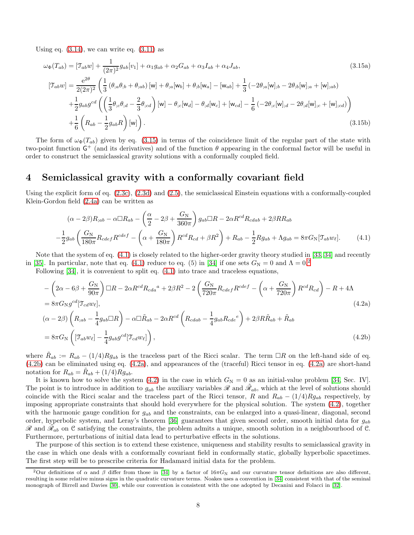Using eq.  $(3.14)$ , we can write eq.  $(3.11)$  as

<span id="page-7-1"></span>
$$
\omega_{\Phi}(T_{ab}) = [\mathcal{T}_{ab}w] + \frac{1}{(2\pi)^2} g_{ab}[v_1] + \alpha_1 g_{ab} + \alpha_2 G_{ab} + \alpha_3 I_{ab} + \alpha_4 J_{ab},
$$
\n
$$
[\mathcal{T}_{ab}w] = \frac{e^{2\theta}}{2(2\pi)^2} \left( \frac{1}{3} \left( \theta_{,a} \theta_{,b} + \theta_{,ab} \right) [w] + \theta_{,a}[w_b] + \theta_{,b}[w_a] - [w_{ab}] + \frac{1}{3} \left( -2\theta_{,a}[w]_{,b} - 2\theta_{,b}[w]_{,a} + [w]_{,ab} \right) \right)
$$
\n
$$
+ \frac{1}{2} g_{ab} g^{cd} \left( \left( \frac{1}{3} \theta_{,c} \theta_{,d} - \frac{2}{3} \theta_{,cd} \right) [w] - \theta_{,c}[w_d] - \theta_{,d}[w_c] + [w_{cd}] - \frac{1}{6} \left( -2\theta_{,c}[w]_{,d} - 2\theta_{,d}[w]_{,c} + [w]_{,cd} \right) \right)
$$
\n
$$
+ \frac{1}{6} \left( R_{ab} - \frac{1}{2} g_{ab} R \right) [w] \right). \tag{3.15b}
$$

The form of  $\omega_{\Phi}(T_{ab})$  given by eq. [\(3.15\)](#page-7-1) in terms of the coincidence limit of the regular part of the state with two-point function  $G^+$  (and its derivatives) and of the function  $\theta$  appearing in the conformal factor will be useful in order to construct the semiclassical gravity solutions with a conformally coupled field.

#### <span id="page-7-0"></span>4 Semiclassical gravity with a conformally covariant field

Using the explicit form of eq. [\(2.3c\)](#page-2-8), [\(2.3d\)](#page-2-9) and [\(2.5\)](#page-2-10), the semiclassical Einstein equations with a conformally-coupled Klein-Gordon field [\(2.4a\)](#page-2-2) can be written as

<span id="page-7-7"></span><span id="page-7-6"></span><span id="page-7-5"></span><span id="page-7-2"></span>
$$
(\alpha - 2\beta)R_{;ab} - \alpha \Box R_{ab} - \left(\frac{\alpha}{2} - 2\beta + \frac{G_N}{360\pi}\right)g_{ab}\Box R - 2\alpha R^{cd}R_{cdab} + 2\beta RR_{ab}
$$

$$
-\frac{1}{2}g_{ab}\left(\frac{G_N}{180\pi}R_{cdef}R^{cdef} - \left(\alpha + \frac{G_N}{180\pi}\right)R^{cd}R_{cd} + \beta R^2\right) + R_{ab} - \frac{1}{2}Rg_{ab} + \Lambda g_{ab} = 8\pi G_N[\mathfrak{T}_{ab}w_{\ell}].\tag{4.1}
$$

Note that the system of eq. [\(4.1\)](#page-7-2) is closely related to the higher-order gravity theory studied in [\[33,](#page-14-11) [34\]](#page-14-12) and recently in [\[35\]](#page-14-6). In particular, note that eq. [\(4.1\)](#page-7-2) reduce to eq. (5) in [\[34\]](#page-14-12) if one sets  $G_N = 0$  and  $\Lambda = 0.2$  $\Lambda = 0.2$ 

Following [\[34\]](#page-14-12), it is convenient to split eq. [\(4.1\)](#page-7-2) into trace and traceless equations,

<span id="page-7-4"></span>
$$
-\left(2\alpha - 6\beta + \frac{G_N}{90\pi}\right)\Box R - 2\alpha R^{cd}R_{cda}^{a} + 2\beta R^{2} - 2\left(\frac{G_N}{720\pi}R_{cdef}R^{cdef} - \left(\alpha + \frac{G_N}{720\pi}\right)R^{cd}R_{cd}\right) - R + 4\Lambda
$$
  
\n
$$
= 8\pi G_N g^{cd}[\mathcal{T}_{cd}w_{\ell}],
$$
\n
$$
(\alpha - 2\beta)\left(R_{;ab} - \frac{1}{4}g_{ab}\Box R\right) - \alpha\Box\tilde{R}_{ab} - 2\alpha R^{cd}\left(R_{cdab} - \frac{1}{4}g_{ab}R_{cde}^{e}\right) + 2\beta R\tilde{R}_{ab} + \tilde{R}_{ab}
$$
\n
$$
= 8\pi G_N\left([\mathcal{T}_{ab}w_{\ell}] - \frac{1}{4}g_{ab}g^{cd}[\mathcal{T}_{cd}w_{\ell}]\right),
$$
\n(4.2b)

where  $\tilde{R}_{ab} := R_{ab} - (1/4)Rg_{ab}$  is the traceless part of the Ricci scalar. The term  $\Box R$  on the left-hand side of eq. [\(4.2b\)](#page-7-4) can be eliminated using eq. [\(4.2a\)](#page-7-5), and appearances of the (traceful) Ricci tensor in eq. [\(4.2a\)](#page-7-5) are short-hand notation for  $R_{ab} = \tilde{R}_{ab} + (1/4)Rg_{ab}$ .

It is known how to solve the system [\(4.2\)](#page-7-6) in the case in which  $G_N = 0$  as an initial-value problem [\[34,](#page-14-12) Sec. IV]. The point is to introduce in addition to  $g_{ab}$  the auxiliary variables  $\mathscr R$  and  $\tilde{\mathscr R}_{ab}$ , which at the level of solutions should coincide with the Ricci scalar and the traceless part of the Ricci tensor, R and  $R_{ab} - (1/4)Rg_{ab}$  respectively, by imposing appropriate constraints that should hold everywhere for the physical solution. The system [\(4.2\)](#page-7-6), together with the harmonic gauge condition for  $g_{ab}$  and the constraints, can be enlarged into a quasi-linear, diagonal, second order, hyperbolic system, and Leray's theorem [\[36\]](#page-14-13) guarantees that given second order, smooth initial data for  $g_{ab}$  $\mathscr{R}$  and  $\tilde{\mathscr{R}}_{ab}$  on  $\mathscr{C}$  satisfying the constraints, the problem admits a unique, smooth solution in a neighbourhood of  $\mathscr{C}$ . Furthermore, perturbations of initial data lead to perturbative effects in the solutions.

The purpose of this section is to extend these existence, uniqueness and stability results to semiclassical gravity in the case in which one deals with a conformally covariant field in conformally static, globally hyperbolic spacetimes. The first step will be to prescribe criteria for Hadamard initial data for the problem.

<span id="page-7-3"></span><sup>&</sup>lt;sup>2</sup>Our definitions of  $\alpha$  and  $\beta$  differ from those in [\[34\]](#page-14-12) by a factor of 16 $\pi G_N$  and our curvature tensor definitions are also different, resulting in some relative minus signs in the quadratic curvature terms. Noakes uses a convention in [\[34\]](#page-14-12) consistent with that of the seminal monograph of Birrell and Davies [\[30\]](#page-14-8), while our convention is consistent with the one adopted by Decanini and Folacci in [\[32\]](#page-14-10).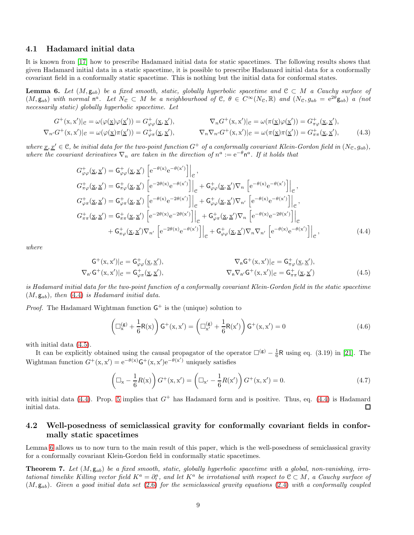#### 4.1 Hadamard initial data

It is known from [\[17\]](#page-13-14) how to prescribe Hadamard initial data for static spacetimes. The following results shows that given Hadamard initial data in a static spacetime, it is possible to prescribe Hadamard initial data for a conformally covariant field in a conformally static spacetime. This is nothing but the initial data for conformal states.

<span id="page-8-3"></span>**Lemma 6.** Let  $(M, g_{ab})$  be a fixed smooth, static, globally hyperbolic spacetime and  $C \subset M$  a Cauchy surface of  $(M, g_{ab})$  with normal  $n^a$ . Let  $N_c \subset M$  be a neighbourhood of  $C, \theta \in C^{\infty}(N_c, \mathbb{R})$  and  $(N_c, g_{ab} = e^{2\theta} g_{ab})$  a (not necessarily static) globally hyperbolic spacetime. Let

$$
G^+(x, x')|_e = \omega(\varphi(\underline{x})\varphi(\underline{x}')) = G^+_{\varphi\varphi}(\underline{x}, \underline{x}'), \qquad \nabla_n G^+(\underline{x}, x')|_e = \omega(\pi(\underline{x})\varphi(\underline{x}')) = G^+_{\pi\varphi}(\underline{x}, \underline{x}'),
$$
  

$$
\nabla_n G^+(\underline{x}, x')|_e = \omega(\varphi(\underline{x})\pi(\underline{x}')) = G^+_{\varphi\pi}(\underline{x}, \underline{x}'), \qquad \nabla_n \nabla_n G^+(\underline{x}, x')|_e = \omega(\pi(\underline{x})\pi(\underline{x}')) = G^+_{\pi\pi}(\underline{x}, \underline{x}'), \qquad (4.3)
$$

where  $\underline{x}, \underline{x}' \in \mathcal{C}$ , be initial data for the two-point function  $G^+$  of a conformally covariant Klein-Gordon field in  $(N_{\mathcal{C}}, g_{ab})$ , where the covariant derivatives  $\nabla_n$  are taken in the direction of  $n^a := e^{-\theta} n^a$ . If it holds that

$$
G_{\varphi\varphi}^{+}(\underline{x},\underline{x}') = G_{\varphi\varphi}^{+}(\underline{x},\underline{x}') \left[ e^{-\theta(x)} e^{-\theta(x')} \right] \Big|_{e},
$$
  
\n
$$
G_{\pi\varphi}^{+}(\underline{x},\underline{x}') = G_{\pi\varphi}^{+}(\underline{x},\underline{x}') \left[ e^{-2\theta(x)} e^{-\theta(x')} \right] \Big|_{e} + G_{\varphi\varphi}^{+}(\underline{x},\underline{x}') \nabla_{n} \left[ e^{-\theta(x)} e^{-\theta(x')} \right] \Big|_{e},
$$
  
\n
$$
G_{\varphi\pi}^{+}(\underline{x},\underline{x}') = G_{\varphi\pi}^{+}(\underline{x},\underline{x}') \left[ e^{-\theta(x)} e^{-2\theta(x')} \right] \Big|_{e} + G_{\varphi\varphi}^{+}(\underline{x},\underline{x}') \nabla_{n'} \left[ e^{-\theta(x)} e^{-\theta(x')} \right] \Big|_{e},
$$
  
\n
$$
G_{\pi\pi}^{+}(\underline{x},\underline{x}') = G_{\pi\pi}^{+}(\underline{x},\underline{x}') \left[ e^{-2\theta(x)} e^{-2\theta(x')} \right] \Big|_{e} + G_{\varphi\pi}^{+}(\underline{x},\underline{x}') \nabla_{n} \left[ e^{-\theta(x)} e^{-2\theta(x')} \right] \Big|_{e},
$$
  
\n
$$
+ G_{\pi\varphi}^{+}(\underline{x},\underline{x}') \nabla_{n'} \left[ e^{-2\theta(x)} e^{-\theta(x')} \right] \Big|_{e} + G_{\varphi\varphi}^{+}(\underline{x},\underline{x}') \nabla_{n} \nabla_{n'} \left[ e^{-\theta(x)} e^{-\theta(x')} \right] \Big|_{e},
$$
  
\n(4.4)

where

$$
\mathsf{G}^{+}(\mathbf{x},\mathbf{x}')|_{\mathcal{C}} = \mathsf{G}^{+}_{\varphi\varphi}(\underline{\mathbf{x}},\underline{\mathbf{x}}'),
$$
\n
$$
\nabla_{\mathsf{n}}\mathsf{G}^{+}(\mathbf{x},\mathbf{x}')|_{\mathcal{C}} = \mathsf{G}^{+}_{\pi\varphi}(\underline{\mathbf{x}},\underline{\mathbf{x}}'),
$$
\n
$$
\nabla_{\mathsf{n}}\nabla_{\mathsf{n}'}\mathsf{G}^{+}(\mathbf{x},\mathbf{x}')|_{\mathcal{C}} = \mathsf{G}^{+}_{\pi\pi}(\underline{\mathbf{x}},\underline{\mathbf{x}}'),
$$
\n
$$
\nabla_{\mathsf{n}}\nabla_{\mathsf{n}'}\mathsf{G}^{+}(\mathbf{x},\mathbf{x}')|_{\mathcal{C}} = \mathsf{G}^{+}_{\pi\pi}(\underline{\mathbf{x}},\underline{\mathbf{x}}')
$$
\n
$$
(4.5)
$$

is Hadamard initial data for the two-point function of a conformally covariant Klein-Gordon field in the static spacetime  $(M, \mathbf{g}_{ab})$ , then [\(4.4\)](#page-8-1) is Hadamard initial data.

*Proof.* The Hadamard Wightman function  $G^+$  is the (unique) solution to

<span id="page-8-4"></span><span id="page-8-2"></span><span id="page-8-1"></span>
$$
\left(\Box_{x}^{(g)} + \frac{1}{6}R(x)\right)G^{+}(x, x') = \left(\Box_{x'}^{(g)} + \frac{1}{6}R(x')\right)G^{+}(x, x') = 0
$$
\n(4.6)

with initial data [\(4.5\)](#page-8-2).

It can be explicitly obtained using the causal propagator of the operator  $\square^{(g)} - \frac{1}{6}R$  using eq. (3.19) in [\[21\]](#page-13-18). The Wightman function  $G^+(x, x') = e^{-\theta(x)} G^+(x, x') e^{-\theta(x')}$  uniquely satisfies

$$
\left(\Box_x - \frac{1}{6}R(x)\right)G^+(x, x') = \left(\Box_{x'} - \frac{1}{6}R(x')\right)G^+(x, x') = 0.
$$
\n(4.7)

with initial data [\(4.4\)](#page-8-1). Prop. [5](#page-6-1) implies that  $G^+$  has Hadamard form and is positive. Thus, eq. (4.4) is Hadamard initial data. □

#### 4.2 Well-posedness of semiclassical gravity for conformally covariant fields in conformally static spacetimes

Lemma [6](#page-8-3) allows us to now turn to the main result of this paper, which is the well-posedness of semiclassical gravity for a conformally covariant Klein-Gordon field in conformally static spacetimes.

<span id="page-8-0"></span>**Theorem 7.** Let  $(M, g_{ab})$  be a fixed smooth, static, globally hyperbolic spacetime with a global, non-vanishing, irrotational timelike Killing vector field  $K^a = \partial_t^a$ , and let  $K^a$  be irrotational with respect to  $C \subset M$ , a Cauchy surface of  $(M, g_{ab})$ . Given a good initial data set [\(2.6\)](#page-2-11) for the semiclassical gravity equations [\(2.4\)](#page-2-3) with a conformally coupled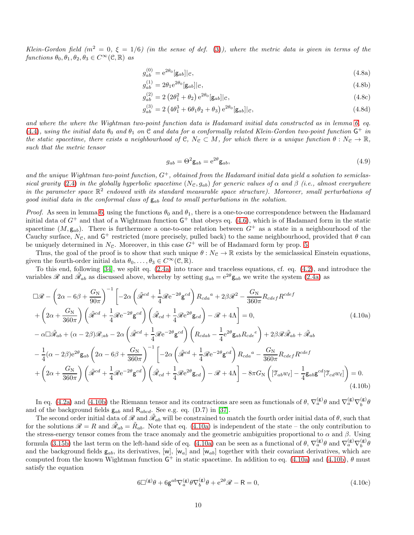Klein-Gordon field ( $m^2 = 0$ ,  $\xi = 1/6$ ) (in the sense of def. [\(3\)](#page-4-2)), where the metric data is given in terms of the functions  $\theta_0, \theta_1, \theta_2, \theta_3 \in C^{\infty}(\mathcal{C}, \mathbb{R})$  as

$$
g_{ab}^{(0)} = e^{2\theta_0} [\mathbf{g}_{ab}]|e,\tag{4.8a}
$$

$$
g_{ab}^{(1)} = 2\theta_1 e^{2\theta_0} [\mathbf{g}_{ab}]|e,\tag{4.8b}
$$

$$
g_{ab}^{(2)} = 2\left(2\theta_1^2 + \theta_2\right) e^{2\theta_0} [\mathbf{g}_{ab}]|e, \tag{4.8c}
$$

$$
g_{ab}^{(3)} = 2\left(4\theta_1^3 + 6\theta_1\theta_2 + \theta_3\right) e^{2\theta_0} [\mathbf{g}_{ab}]|e,
$$
\n(4.8d)

and where the where the Wightman two-point function data is Hadamard initial data constructed as in lemma [6,](#page-8-3) eq. [\(4.4\)](#page-8-1), using the initial data  $\theta_0$  and  $\theta_1$  on  $\mathfrak C$  and data for a conformally related Klein-Gordon two-point function  $\mathsf G^+$  in the static spacetime, there exists a neighbourhood of C,  $N_c \subset M$ , for which there is a unique function  $\theta : N_c \to \mathbb{R}$ , such that the metric tensor

<span id="page-9-2"></span><span id="page-9-1"></span>
$$
g_{ab} = \Theta^2 \mathbf{g}_{ab} = e^{2\theta} \mathbf{g}_{ab},\tag{4.9}
$$

and the unique Wightman two-point function,  $G^+$ , obtained from the Hadamard initial data yield a solution to semiclas-sical gravity [\(2.4\)](#page-2-3) in the globally hyperbolic spacetime (N<sub>C</sub>,  $g_{ab}$ ) for generic values of  $\alpha$  and  $\beta$  (i.e., almost everywhere in the parameter space  $\mathbb{R}^2$  endowed with its standard measurable space structure). Moreover, small perturbations of good initial data in the conformal class of  $g_{ab}$  lead to small perturbations in the solution.

Proof. As seen in lemma [6,](#page-8-3) using the functions  $\theta_0$  and  $\theta_1$ , there is a one-to-one correspondence between the Hadamard initial data of  $G^+$  and that of a Wightman function  $G^+$  that obeys eq. [\(4.6\)](#page-8-4), which is of Hadamard form in the static spacetime  $(M, g_{ab})$ . There is furthermore a one-to-one relation between  $G^+$  as a state in a neighbourhood of the Cauchy surface,  $N_c$ , and  $G^+$  restricted (more precisely, pulled back) to the same neighbourhood, provided that  $\theta$  can be uniquely determined in  $N_{\mathcal{C}}$ . Moreover, in this case  $G^+$  will be of Hadamard form by prop. [5.](#page-6-1)

Thus, the goal of the proof is to show that such unique  $\theta : N_{\mathcal{C}} \to \mathbb{R}$  exists by the semiclassical Einstein equations, given the fourth-order initial data  $\theta_0, \ldots, \theta_3 \in C^{\infty}(\mathcal{C}, \mathbb{R})$ .

To this end, following [\[34\]](#page-14-12), we split eq. [\(2.4a\)](#page-2-2) into trace and traceless equations, cf. eq. [\(4.2\)](#page-7-6), and introduce the variables R and  $\tilde{\mathcal{R}}_{ab}$  as discussed above, whereby by setting  $g_{ab} = e^{2\theta} \mathbf{g}_{ab}$  we write the system [\(2.4a\)](#page-2-2) as

$$
\Box \mathcal{R} - \left(2\alpha - 6\beta + \frac{G_N}{90\pi}\right)^{-1} \left[-2\alpha \left(\tilde{\mathcal{R}}^{cd} + \frac{1}{4}\mathcal{R}e^{-2\theta}\mathbf{g}^{cd}\right) R_{cda}^{a} + 2\beta \mathcal{R}^{2} - \frac{G_N}{360\pi} R_{cdef}^{cdef}\right] \n+ \left(2\alpha + \frac{G_N}{360\pi}\right) \left(\tilde{\mathcal{R}}^{cd} + \frac{1}{4}\mathcal{R}e^{-2\theta}\mathbf{g}^{cd}\right) \left(\tilde{\mathcal{R}}_{cd} + \frac{1}{4}\mathcal{R}e^{2\theta}\mathbf{g}_{cd}\right) - \mathcal{R} + 4\Lambda\right] = 0, \tag{4.10a}
$$
\n
$$
- \alpha \Box \tilde{\mathcal{R}}_{ab} + (\alpha - 2\beta)\mathcal{R}_{;ab} - 2\alpha \left(\tilde{\mathcal{R}}^{cd} + \frac{1}{4}\mathcal{R}e^{-2\theta}\mathbf{g}^{cd}\right) \left(R_{cdab} - \frac{1}{4}e^{2\theta}\mathbf{g}_{ab}R_{cde}^{e}\right) + 2\beta \mathcal{R}\tilde{\mathcal{R}}_{ab} + \tilde{\mathcal{R}}_{ab}
$$
\n
$$
- \frac{1}{4}(\alpha - 2\beta)e^{2\theta}\mathbf{g}_{ab}\left(2\alpha - 6\beta + \frac{G_N}{360\pi}\right)^{-1} \left[-2\alpha \left(\tilde{\mathcal{R}}^{cd} + \frac{1}{4}\mathcal{R}e^{-2\theta}\mathbf{g}^{cd}\right)R_{cda}^{a} - \frac{G_N}{360\pi}R_{cdef}R^{cdef}\right] \n+ \left(2\alpha + \frac{G_N}{360\pi}\right) \left(\tilde{\mathcal{R}}^{cd} + \frac{1}{4}\mathcal{R}e^{-2\theta}\mathbf{g}^{cd}\right) \left(\tilde{\mathcal{R}}_{cd} + \frac{1}{4}\mathcal{R}e^{2\theta}\mathbf{g}_{cd}\right) - \mathcal{R} + 4\Lambda\right] - 8\pi G_N \left([\mathcal{T}_{ab}w_{\ell}] - \frac{1}{4}\mathbf{g}_{ab}\mathbf{g}^{cd}[\mathcal{T}_{cd}w
$$

In eq. [\(4.2a\)](#page-7-5) and [\(4.10b\)](#page-9-0) the Riemann tensor and its contractions are seen as functionals of  $\theta$ ,  $\nabla_a^{(\mathbf{g})}\theta$  and  $\nabla_a^{(\mathbf{g})}\nabla_b^{(\mathbf{g})}\theta$ and of the background fields  $g_{ab}$  and  $R_{abcd}$ . See e.g. eq. (D.7) in [\[37\]](#page-14-14).

The second order initial data of  $\mathscr{R}$  and  $\tilde{\mathscr{R}}_{ab}$  will be constrained to match the fourth order initial data of  $\theta$ , such that for the solutions  $\mathscr{R} = R$  and  $\tilde{\mathscr{R}}_{ab} = \tilde{R}_{ab}$ . Note that eq. [\(4.10a\)](#page-9-1) is independent of the state – the only contribution to the stress-energy tensor comes from the trace anomaly and the geometric ambiguities proportional to  $\alpha$  and  $\beta$ . Using formula [\(3.15b\)](#page-7-7) the last term on the left-hand side of eq. [\(4.10a\)](#page-9-1) can be seen as a functional of  $\theta$ ,  $\nabla_a^{(\mathbf{g})}\theta$  and  $\nabla_a^{(\mathbf{g})}\nabla_b^{(\mathbf{g})}\theta$ and the background fields  $g_{ab}$ , its derivatives,  $[w]$ ,  $[w_a]$  and  $[w_{ab}]$  together with their covariant derivatives, which are computed from the known Wightman function  $G^+$  in static spacetime. In addition to eq. [\(4.10a\)](#page-9-1) and [\(4.10b\)](#page-9-0),  $\theta$  must satisfy the equation

<span id="page-9-3"></span><span id="page-9-0"></span>
$$
6\Box^{(g)}\theta + 6g^{ab}\nabla_a^{(g)}\theta\nabla_b^{(g)}\theta + e^{2\theta}\mathcal{R} - R = 0,
$$
\n(4.10c)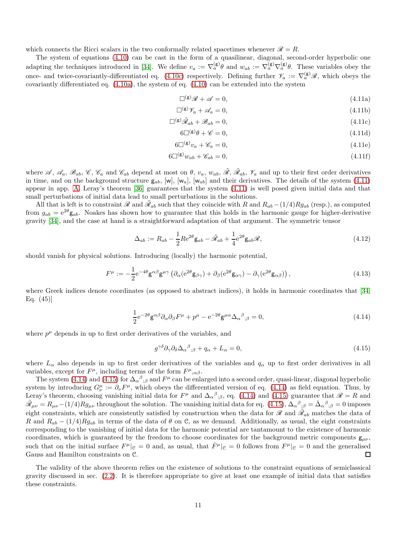which connects the Ricci scalars in the two conformally related spacetimes whenever  $\mathcal{R} = R$ .

The system of equations [\(4.10\)](#page-9-2) can be cast in the form of a quasilinear, diagonal, second-order hyperbolic one adapting the techniques introduced in [\[34\]](#page-14-12). We define  $v_a := \nabla_a^{(\mathsf{g})} \theta$  and  $w_{ab} := \nabla_a^{(\mathsf{g})} \nabla_a^{(\mathsf{g})} \theta$ . These variables obey the once- and twice-covariantly-differentiated eq. [\(4.10c\)](#page-9-3) respectively. Defining further  $\mathcal{V}_a := \nabla_a^{(g)} \mathcal{R}$ , which obeys the covariantly differentiated eq. [\(4.10a\)](#page-9-1), the system of eq. [\(4.10\)](#page-9-2) can be extended into the system

<span id="page-10-0"></span>
$$
\Box^{(g)}\mathcal{R} + \mathcal{A} = 0,\tag{4.11a}
$$

$$
\Box^{(g)}\mathscr{V}_a + \mathscr{A}_a = 0,\tag{4.11b}
$$

$$
\Box^{(g)}\tilde{\mathscr{R}}_{ab} + \mathscr{B}_{ab} = 0, \qquad (4.11c)
$$

$$
6\square^{(g)}\theta + \mathscr{C} = 0,\tag{4.11d}
$$

$$
6\square^{(\mathsf{g})}v_a + \mathscr{C}_a = 0,\tag{4.11e}
$$

$$
6\square^{(\mathsf{g})} w_{ab} + \mathscr{C}_{ab} = 0,\tag{4.11f}
$$

where  $\mathscr{A}, \mathscr{A}_a, \mathscr{B}_{ab}, \mathscr{C}, \mathscr{C}_a$  and  $\mathscr{C}_{ab}$  depend at most on  $\theta, v_a, w_{ab}, \tilde{\mathscr{R}}, \tilde{\mathscr{R}}_{ab}, \mathscr{V}_a$  and up to their first order derivatives in time, and on the background structure  $g_{ab}$ ,  $[w]$ ,  $[w_{ab}]$ ,  $[w_{ab}]$  and their derivatives. The details of the system [\(4.11\)](#page-10-0) appear in app. [A.](#page-12-2) Leray's theorem [\[36\]](#page-14-13) guarantees that the system [\(4.11\)](#page-10-0) is well posed given initial data and that small perturbations of initial data lead to small perturbations in the solutions.

All that is left is to constraint  $\mathscr{R}$  and  $\tilde{\mathscr{R}}_{ab}$  such that they coincide with R and  $R_{ab} - (1/4)Rg_{ab}$  (resp.), as computed from  $g_{ab} = e^{2\theta} \mathbf{g}_{ab}$ . Noakes has shown how to guarantee that this holds in the harmonic gauge for higher-derivative gravity [\[34\]](#page-14-12), and the case at hand is a straightforward adaptation of that argument. The symmetric tensor

$$
\Delta_{ab} := R_{ab} - \frac{1}{2} R e^{2\theta} \mathbf{g}_{ab} - \tilde{\mathcal{R}}_{ab} + \frac{1}{4} e^{2\theta} \mathbf{g}_{ab} \mathcal{R},\tag{4.12}
$$

should vanish for physical solutions. Introducing (locally) the harmonic potential,

$$
F^{\mu} := -\frac{1}{2} e^{-4\theta} g^{\alpha\beta} g^{\mu\gamma} \left( \partial_{\alpha} (e^{2\theta} g_{\beta\gamma}) + \partial_{\beta} (e^{2\theta} g_{\alpha\gamma}) - \partial_{\gamma} (e^{2\theta} g_{\alpha\beta}) \right), \tag{4.13}
$$

where Greek indices denote coordinates (as opposed to abstract indices), it holds in harmonic coordinates that [\[34,](#page-14-12) Eq. (45)]

$$
\frac{1}{2}e^{-2\theta}\mathsf{g}^{\alpha\beta}\partial_{\alpha}\partial_{\beta}F^{\mu} + p^{\mu} - e^{-2\theta}\mathsf{g}^{\mu\alpha}\Delta_{\alpha}{}^{\beta}{}_{;\beta} = 0,
$$
\n(4.14)

where  $p^{\mu}$  depends in up to first order derivatives of the variables, and

<span id="page-10-2"></span><span id="page-10-1"></span>
$$
g^{\gamma\delta}\partial_{\gamma}\partial_{\delta}\Delta_{\alpha}{}^{\beta}{}_{;\beta} + q_{\alpha} + L_{\alpha} = 0, \tag{4.15}
$$

where  $L_{\alpha}$  also depends in up to first order derivatives of the variables and  $q_{\alpha}$  up to first order derivatives in all variables, except for  $F^{\mu}$ , including terms of the form  $F^{\mu}{}_{;\alpha\beta}$ .

The system [\(4.14\)](#page-10-1) and [\(4.15\)](#page-10-2) for  $\Delta_{\alpha}{}^{\beta}{}_{;\beta}$  and  $F^{\mu}$  can be enlarged into a second order, quasi-linear, diagonal hyperbolic system by introducing  $G^{\mu}_{\nu} := \partial_{\nu} F^{\mu}$ , which obeys the differentiated version of eq. [\(4.14\)](#page-10-1) as field equation. Thus, by Leray's theorem, choosing vanishing initial data for  $F^{\mu}$  and  $\Delta_{\alpha}{}^{\beta}{}_{;\beta}$ , eq. [\(4.14\)](#page-10-1) and [\(4.15\)](#page-10-2) guarantee that  $\mathscr{R} = R$  and  $\tilde{\mathscr{R}}_{\mu\nu} = R_{\mu\nu} - (1/4)Rg_{\mu\nu}$  throughout the solution. The vanishing initial data for eq. [\(4.15\)](#page-10-2),  $\Delta_{\alpha}{}^{\beta}{}_{;\beta} = \dot{\Delta}_{\alpha}{}^{\beta}{}_{;\beta} = 0$  imposes eight constraints, which are consistently satisfied by construction when the data for  $\mathscr{R}$  and  $\tilde{\mathscr{R}}_{ab}$  matches the data of R and  $R_{ab} - (1/4)Rg_{ab}$  in terms of the data of  $\theta$  on C, as we demand. Additionally, as usual, the eight constraints corresponding to the vanishing of initial data for the harmonic potential are tantamount to the existence of harmonic coordinates, which is guaranteed by the freedom to choose coordinates for the background metric components  $g_{\mu\nu}$ , such that on the initial surface  $F^{\mu}|_{\mathcal{C}} = 0$  and, as usual, that  $\dot{F}^{\mu}|_{\mathcal{C}} = 0$  follows from  $F^{\mu}|_{\mathcal{C}} = 0$  and the generalised Gauss and Hamilton constraints on C.

The validity of the above theorem relies on the existence of solutions to the constraint equations of semiclassical gravity discussed in sec. [\(2.2\)](#page-3-2). It is therefore appropriate to give at least one example of initial data that satisfies these constraints.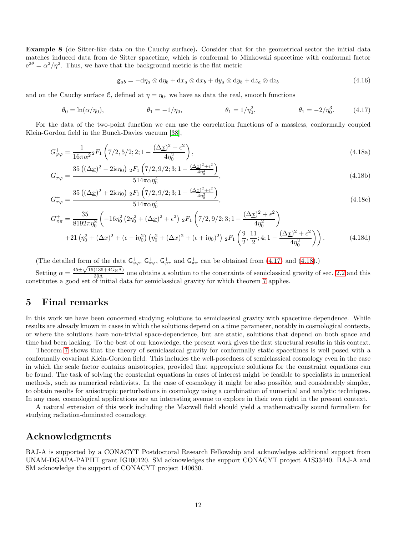Example 8 (de Sitter-like data on the Cauchy surface). Consider that for the geometrical sector the initial data matches induced data from de Sitter spacetime, which is conformal to Minkowski spacetime with conformal factor  $e^{2\theta} = \alpha^2/\eta^2$ . Thus, we have that the background metric is the flat metric

<span id="page-11-2"></span><span id="page-11-1"></span>
$$
\mathsf{g}_{ab} = -\mathrm{d}\eta_a \otimes \mathrm{d}\eta_b + \mathrm{d}x_a \otimes \mathrm{d}x_b + \mathrm{d}y_a \otimes \mathrm{d}y_b + \mathrm{d}z_a \otimes \mathrm{d}z_b \tag{4.16}
$$

and on the Cauchy surface C, defined at  $\eta = \eta_0$ , we have as data the real, smooth functions

$$
\theta_0 = \ln(\alpha/\eta_0), \qquad \theta_1 = -1/\eta_0, \qquad \theta_1 = 1/\eta_0^2, \qquad \theta_1 = -2/\eta_0^3. \qquad (4.17)
$$

For the data of the two-point function we can use the correlation functions of a massless, conformally coupled Klein-Gordon field in the Bunch-Davies vacuum [\[38\]](#page-14-15),

$$
G_{\varphi\varphi}^{+} = \frac{1}{16\pi\alpha^2} {}_2F_1 \left( 7/2, 5/2; 2; 1 - \frac{(\Delta \underline{x})^2 + \epsilon^2}{4\eta_0^2} \right),
$$
\n(4.18a)

$$
G_{\pi\varphi}^{+} = \frac{35\left((\Delta\underline{x})^2 - 2\mathrm{i}\epsilon\eta_0\right) \, {}_2F_1\left(7/2, 9/2; 3; 1 - \frac{(\Delta\underline{x})^2 + \epsilon^2}{4\eta_0^2}\right)}{514\pi\alpha\eta_0^4},\tag{4.18b}
$$

$$
G_{\pi\varphi}^{+} = \frac{35\left((\Delta\underline{x})^2 + 2\mathrm{i}\epsilon\eta_0\right) \, {}_2F_1\left(7/2, 9/2; 3; 1 - \frac{(\Delta\underline{x})^2 + \epsilon^2}{4\eta_0^2}\right)}{514\pi\alpha\eta_0^4},\tag{4.18c}
$$

$$
G_{\pi\pi}^{+} = \frac{35}{8192\pi\eta_{0}^{8}} \left( -16\eta_{0}^{2} \left( 2\eta_{0}^{2} + (\Delta_{\underline{x}})^{2} + \epsilon^{2} \right) {}_{2}F_{1} \left( 7/2, 9/2; 3; 1 - \frac{(\Delta_{\underline{x}})^{2} + \epsilon^{2}}{4\eta_{0}^{2}} \right) \right)
$$
  
+21  $\left( \eta_{0}^{2} + (\Delta_{\underline{x}})^{2} + (\epsilon - i\eta_{0}^{2}) \left( \eta_{0}^{2} + (\Delta_{\underline{x}})^{2} + (\epsilon + i\eta_{0})^{2} \right) {}_{2}F_{1} \left( \frac{9}{2}, \frac{11}{2}; 4; 1 - \frac{(\Delta_{\underline{x}})^{2} + \epsilon^{2}}{4\eta_{0}^{2}} \right) \right).$  (4.18d)

(The detailed form of the data  $G_{\varphi\varphi}^+$ ,  $G_{\pi\varphi}^+$ ,  $G_{\varphi\pi}^+$  and  $G_{\pi\pi}^+$  can be obtained from [\(4.17\)](#page-11-1) and [\(4.18\)](#page-11-2).)

Setting  $\alpha = \frac{45 \pm \sqrt{15(135 + 4G_N\Lambda)}}{30\Lambda}$  one obtains a solution to the constraints of semiclassical gravity of sec. [2.2](#page-3-2) and this constitutes a good set of initial data for semiclassical gravity for which theorem [7](#page-8-0) applies.

#### <span id="page-11-0"></span>5 Final remarks

In this work we have been concerned studying solutions to semiclassical gravity with spacetime dependence. While results are already known in cases in which the solutions depend on a time parameter, notably in cosmological contexts, or where the solutions have non-trivial space-dependence, but are static, solutions that depend on both space and time had been lacking. To the best of our knowledge, the present work gives the first structural results in this context.

Theorem [7](#page-8-0) shows that the theory of semiclassical gravity for conformally static spacetimes is well posed with a conformally covariant Klein-Gordon field. This includes the well-posedness of semiclassical cosmology even in the case in which the scale factor contains anisotropies, provided that appropriate solutions for the constraint equations can be found. The task of solving the constraint equations in cases of interest might be feasible to specialists in numerical methods, such as numerical relativists. In the case of cosmology it might be also possible, and considerably simpler, to obtain results for anisotropic perturbations in cosmology using a combination of numerical and analytic techniques. In any case, cosmological applications are an interesting avenue to explore in their own right in the present context.

A natural extension of this work including the Maxwell field should yield a mathematically sound formalism for studying radiation-dominated cosmology.

#### Acknowledgments

BAJ-A is supported by a CONACYT Postdoctoral Research Fellowship and acknowledges additional support from UNAM-DGAPA-PAPIIT grant IG100120. SM acknowledges the support CONACYT project A1S33440. BAJ-A and SM acknowledge the support of CONACYT project 140630.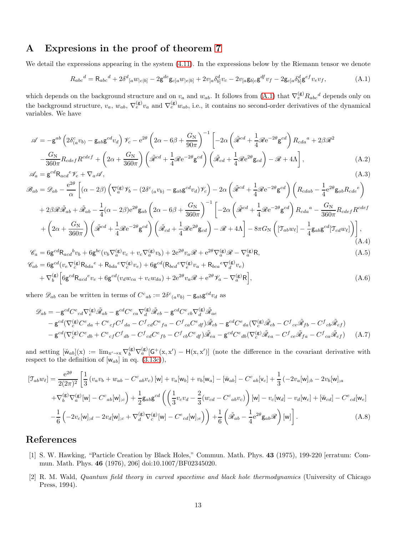### <span id="page-12-2"></span>A Expresions in the proof of theorem [7](#page-8-0)

We detail the expressions appearing in the system [\(4.11\)](#page-10-0). In the expressions below by the Riemann tensor we denote

<span id="page-12-3"></span>
$$
R_{abc}{}^d = R_{abc}{}^d + 2\delta^d{}_{[a}w_{|c|b]} - 2\mathsf{g}^{de}\mathsf{g}_{c[a}w_{|e|b]} + 2v_{[a}\delta^d_{b]}v_c - 2v_{[a}\mathsf{g}_{b]c}\mathsf{g}^{df}v_f - 2\mathsf{g}_{c[a}\delta^d_{b]}\mathsf{g}^{ef}v_e v_f,
$$
(A.1)

which depends on the background structure and on  $v_a$  and  $w_{ab}$ . It follows from [\(A.1\)](#page-12-3) that  $\nabla_e^{(\mathbf{g})} R_{abc}{}^d$  depends only on the background structure,  $v_a$ ,  $w_{ab}$ ,  $\nabla_e^{(\mathbf{g})} v_a$  and  $\nabla_e^{(\mathbf{g})} w_{ab}$ , i.e., it contains no second-order derivatives of the dynamical variables. We have

$$
\mathscr{A} = -g^{ab} \left( 2 \delta^c_{(a} v_{b)} - g_{ab} g^{cd} v_d \right) \mathscr{V}_c - e^{2\theta} \left( 2\alpha - 6\beta + \frac{G_N}{90\pi} \right)^{-1} \left[ -2\alpha \left( \tilde{\mathscr{R}}^{cd} + \frac{1}{4} \mathscr{R} e^{-2\theta} g^{cd} \right) R_{cda}{}^a + 2\beta \mathscr{R}^2 - \frac{G_N}{360\pi} R_{cdef} R^{cdef} + \left( 2\alpha + \frac{G_N}{360\pi} \right) \left( \tilde{\mathscr{R}}^{cd} + \frac{1}{4} \mathscr{R} e^{-2\theta} g^{cd} \right) \left( \tilde{\mathscr{R}}_{cd} + \frac{1}{4} \mathscr{R} e^{2\theta} g_{cd} \right) - \mathscr{R} + 4\Lambda \right],
$$
\n(A.2)

$$
\mathcal{A}_a = \mathbf{g}^{cd} \mathbf{R}_{acd}{}^e \mathcal{V}_e + \nabla_a \mathcal{A},\tag{A.3}
$$

$$
\mathcal{B}_{ab} = \mathcal{D}_{ab} - \frac{e^{2\theta}}{\alpha} \left[ (\alpha - 2\beta) \left( \nabla_a^{(\mathbf{g})} \mathcal{V}_b - (2\delta^c{}_{(a} v_{b)} - \mathbf{g}_{ab} \mathbf{g}^{cd} v_d) \mathcal{V}_c \right) - 2\alpha \left( \tilde{\mathcal{R}}^{cd} + \frac{1}{4} \mathcal{R} e^{-2\theta} \mathbf{g}^{cd} \right) \left( R_{cdab} - \frac{1}{4} e^{2\theta} \mathbf{g}_{ab} R_{cde} e \right) \right]
$$
  
+ 2\beta \mathcal{R} \tilde{\mathcal{R}}\_{ab} + \tilde{\mathcal{R}}\_{ab} - \frac{1}{4} (\alpha - 2\beta) e^{2\theta} \mathbf{g}\_{ab} \left( 2\alpha - 6\beta + \frac{G\_N}{360\pi} \right)^{-1} \left[ -2\alpha \left( \tilde{\mathcal{R}}^{cd} + \frac{1}{4} \mathcal{R} e^{-2\theta} \mathbf{g}^{cd} \right) R\_{cda}{}^a - \frac{G\_N}{360\pi} R\_{cdef} R^{cdef} \right] \right] \right.   
+ \left( 2\alpha + \frac{G\_N}{360\pi} \right) \left( \tilde{\mathcal{R}}^{cd} + \frac{1}{4} \mathcal{R} e^{-2\theta} \mathbf{g}^{cd} \right) \left( \tilde{\mathcal{R}}\_{cd} + \frac{1}{4} \mathcal{R} e^{2\theta} \mathbf{g}\_{cd} \right) - \mathcal{R} + 4\Lambda \right] - 8\pi G\_N \left( \left[ \mathcal{T}\_{ab} w\_{\ell} \right] - \frac{1}{4} \mathbf{g}\_{ab} \mathbf{g}^{cd} \left[ \mathcal{T}\_{cd} w\_{\ell} \right] \right) \right], \tag{A.4}

$$
\mathcal{C}_a = 6g^{cd}R_{acd}{}^b v_b + 6g^{bc}(v_b \nabla_a^{(g)} v_c + v_c \nabla_a^{(g)} v_b) + 2e^{2\theta}v_a \mathcal{R} + e^{2\theta} \nabla_a^{(g)} \mathcal{R} - \nabla_a^{(g)} R,
$$
  
\n
$$
\mathcal{C}_{ab} = 6g^{cd}(v_e \nabla_c^{(g)} R_{bda}{}^e + R_{bda}{}^e \nabla_c^{(g)} v_e) + 6g^{cd}(R_{bcd}{}^e \nabla_c^{(g)} v_a + R_{bca}{}^e \nabla_d^{(g)} v_e)
$$
\n(A.5)

$$
\mathcal{E}_{ab} = 6g^{cd}(v_e \nabla_c^{(g)} \mathcal{R}_{bda}^e + \mathcal{R}_{bda}^e \nabla_c^{(g)} v_e) + 6g^{cd}(\mathcal{R}_{bcd}^e \nabla_c^{(g)} v_a + \mathcal{R}_{bca}^e \nabla_d^{(g)} v_e)
$$
  
+  $\nabla_b^{(g)} \Big[ 6g^{cd} \mathcal{R}_{acd}^e v_e + 6g^{cd}(v_d w_{ca} + v_c w_{da}) + 2e^{2\theta} v_a \mathcal{R} + e^{2\theta} \mathcal{V}_a - \nabla_a^{(g)} \mathcal{R} \Big],$  (A.6)

where  $\mathscr{D}_{ab}$  can be written in terms of  $C^{c}{}_{ab} := 2\delta^{c}{}_{(a}v_{b)} - \mathsf{g}_{ab}\mathsf{g}^{cd}v_{d}$  as

$$
\mathcal{D}_{ab} = -g^{cd}C^{e}{}_{cd}\nabla_{e}^{(g)}\tilde{\mathcal{R}}_{ab} - g^{cd}C^{e}{}_{ca}\nabla_{d}^{(g)}\tilde{\mathcal{R}}_{eb} - g^{cd}C^{e}{}_{cb}\nabla_{d}^{(g)}\tilde{\mathcal{R}}_{ae}
$$
  
\n
$$
-g^{cd}(\nabla_{c}^{(g)}C^{e}{}_{da} + C^{e}{}_{cf}C^{f}{}_{da} - C^{f}{}_{cd}C^{e}{}_{fa} - C^{f}{}_{ca}C^{e}{}_{df})\tilde{\mathcal{R}}_{eb} - g^{cd}C^{e}{}_{da}(\nabla_{c}^{(g)}\tilde{\mathcal{R}}_{eb} - C^{f}{}_{ce}\tilde{\mathcal{R}}_{fb} - C^{f}{}_{cb}\tilde{\mathcal{R}}_{ef})
$$
  
\n
$$
-g^{cd}(\nabla_{c}^{(g)}C^{e}{}_{db} + C^{e}{}_{cf}C^{f}{}_{db} - C^{f}{}_{cd}C^{e}{}_{fb} - C^{f}{}_{cb}C^{e}{}_{df})\tilde{\mathcal{R}}_{ea} - g^{cd}C^{e}{}_{db}(\nabla_{c}^{(g)}\tilde{\mathcal{R}}_{ea} - C^{f}{}_{ce}\tilde{\mathcal{R}}_{fa} - C^{f}{}_{ca}\tilde{\mathcal{R}}_{ef})
$$
(A.7)

and setting  $[\breve{w}_{ab}](x) := \lim_{x' \to x} \nabla_b^{(g)} \nabla_a^{(g)} [G^+(x, x') - H(x, x')]$  (note the difference in the covariant derivative with respect to the definition of  $[w_{ab}]$  in eq. [\(3.13c\)](#page-6-4)),

$$
[\mathcal{T}_{ab}w_{\ell}] = \frac{e^{2\theta}}{2(2\pi)^2} \left[ \frac{1}{3} \left( v_a v_b + w_{ab} - C^c{}_{ab} v_c \right) [w] + v_a [w_b] + v_b [w_a] - [\breve{w}_{ab}] - C^c{}_{ab} [v_c] + \frac{1}{3} \left( -2v_a [w]_{;b} - 2v_b [w]_{;a} \right) \right] + \nabla_b^{(g)} \nabla_a^{(g)} [w] - C^c{}_{ab} [w]_{;c} + \frac{1}{2} g_{ab} g^{cd} \left( \left( \frac{1}{3} v_c v_d - \frac{2}{3} (w_{cd} - C^c{}_{ab} v_c) \right) [w] - v_c [w_d] - v_d [w_c] + [\breve{w}_{cd}] - C^c{}_{cd} [w_e] \right) - \frac{1}{6} \left( -2v_c [w]_{;d} - 2v_d [w]_{;c} + \nabla_d^{(g)} \nabla_c^{(g)} [w] - C^c{}_{cd} [w]_{;e} \right) + \frac{1}{6} \left( \tilde{\mathcal{R}}_{ab} - \frac{1}{4} e^{2\theta} g_{ab} \mathcal{R} \right) [w] \right].
$$
\n(A.8)

## <span id="page-12-0"></span>References

- [1] S. W. Hawking, "Particle Creation by Black Holes," Commun. Math. Phys. 43 (1975), 199-220 [erratum: Commun. Math. Phys. 46 (1976), 206] doi:10.1007/BF02345020.
- <span id="page-12-1"></span>[2] R. M. Wald, Quantum field theory in curved spacetime and black hole thermodynamics (University of Chicago Press, 1994).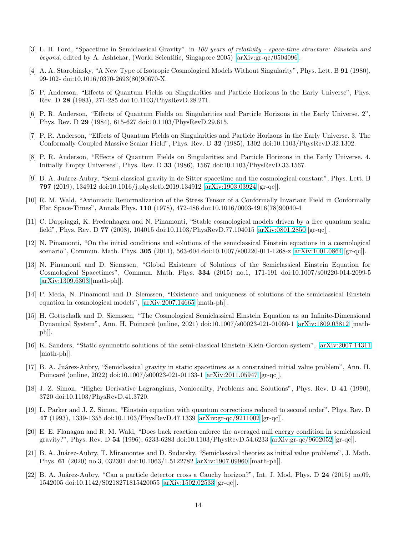- <span id="page-13-1"></span><span id="page-13-0"></span>[3] L. H. Ford, "Spacetime in Semiclassical Gravity", in 100 years of relativity - space-time structure: Einstein and beyond, edited by A. Ashtekar, (World Scientific, Singapore 2005) [\[arXiv:gr-qc/0504096\]](http://arxiv.org/abs/gr-qc/0504096).
- [4] A. A. Starobinsky, "A New Type of Isotropic Cosmological Models Without Singularity", Phys. Lett. B 91 (1980), 99-102- doi:10.1016/0370-2693(80)90670-X.
- <span id="page-13-3"></span><span id="page-13-2"></span>[5] P. Anderson, "Effects of Quantum Fields on Singularities and Particle Horizons in the Early Universe", Phys. Rev. D 28 (1983), 271-285 doi:10.1103/PhysRevD.28.271.
- <span id="page-13-4"></span>[6] P. R. Anderson, "Effects of Quantum Fields on Singularities and Particle Horizons in the Early Universe. 2", Phys. Rev. D 29 (1984), 615-627 doi:10.1103/PhysRevD.29.615.
- [7] P. R. Anderson, "Effects of Quantum Fields on Singularities and Particle Horizons in the Early Universe. 3. The Conformally Coupled Massive Scalar Field", Phys. Rev. D 32 (1985), 1302 doi:10.1103/PhysRevD.32.1302.
- <span id="page-13-5"></span>[8] P. R. Anderson, "Effects of Quantum Fields on Singularities and Particle Horizons in the Early Universe. 4. Initially Empty Universes", Phys. Rev. D 33 (1986), 1567 doi:10.1103/PhysRevD.33.1567.
- <span id="page-13-6"></span>[9] B. A. Juárez-Aubry, "Semi-classical gravity in de Sitter spacetime and the cosmological constant", Phys. Lett. B 797 (2019), 134912 doi:10.1016/j.physletb.2019.134912 [\[arXiv:1903.03924](http://arxiv.org/abs/1903.03924) [gr-qc]].
- <span id="page-13-7"></span>[10] R. M. Wald, "Axiomatic Renormalization of the Stress Tensor of a Conformally Invariant Field in Conformally Flat Space-Times", Annals Phys. 110 (1978), 472-486 doi:10.1016/0003-4916(78)90040-4
- <span id="page-13-8"></span>[11] C. Dappiaggi, K. Fredenhagen and N. Pinamonti, "Stable cosmological models driven by a free quantum scalar field", Phys. Rev. D 77 (2008), 104015 doi:10.1103/PhysRevD.77.104015 [\[arXiv:0801.2850](http://arxiv.org/abs/0801.2850) [gr-qc]].
- <span id="page-13-9"></span>[12] N. Pinamonti, "On the initial conditions and solutions of the semiclassical Einstein equations in a cosmological scenario", Commun. Math. Phys. 305 (2011), 563-604 doi:10.1007/s00220-011-1268-z [\[arXiv:1001.0864](http://arxiv.org/abs/1001.0864) [gr-qc]].
- <span id="page-13-10"></span>[13] N. Pinamonti and D. Siemssen, "Global Existence of Solutions of the Semiclassical Einstein Equation for Cosmological Spacetimes", Commun. Math. Phys. 334 (2015) no.1, 171-191 doi:10.1007/s00220-014-2099-5 [\[arXiv:1309.6303](http://arxiv.org/abs/1309.6303) [math-ph]].
- <span id="page-13-11"></span>[14] P. Meda, N. Pinamonti and D. Siemssen, "Existence and uniqueness of solutions of the semiclassical Einstein equation in cosmological models", [\[arXiv:2007.14665](http://arxiv.org/abs/2007.14665) [math-ph]].
- <span id="page-13-12"></span>[15] H. Gottschalk and D. Siemssen, "The Cosmological Semiclassical Einstein Equation as an Infinite-Dimensional Dynamical System", Ann. H. Poincaré (online, 2021) doi:10.1007/s00023-021-01060-1 [\[arXiv:1809.03812](http://arxiv.org/abs/1809.03812) [mathph]].
- <span id="page-13-13"></span>[16] K. Sanders, "Static symmetric solutions of the semi-classical Einstein-Klein-Gordon system", [\[arXiv:2007.14311](http://arxiv.org/abs/2007.14311) [math-ph]].
- <span id="page-13-14"></span>[17] B. A. Ju´arez-Aubry, "Semiclassical gravity in static spacetimes as a constrained initial value problem", Ann. H. Poincaré (online, 2022) doi:10.1007/s00023-021-01133-1 [\[arXiv:2011.05947](http://arxiv.org/abs/2011.05947) [gr-qc]].
- <span id="page-13-15"></span>[18] J. Z. Simon, "Higher Derivative Lagrangians, Nonlocality, Problems and Solutions", Phys. Rev. D 41 (1990), 3720 doi:10.1103/PhysRevD.41.3720.
- <span id="page-13-16"></span>[19] L. Parker and J. Z. Simon, "Einstein equation with quantum corrections reduced to second order", Phys. Rev. D 47 (1993), 1339-1355 doi:10.1103/PhysRevD.47.1339 [\[arXiv:gr-qc/9211002](http://arxiv.org/abs/gr-qc/9211002) [gr-qc]].
- <span id="page-13-17"></span>[20] E. E. Flanagan and R. M. Wald, "Does back reaction enforce the averaged null energy condition in semiclassical gravity?", Phys. Rev. D 54 (1996), 6233-6283 doi:10.1103/PhysRevD.54.6233 [\[arXiv:gr-qc/9602052](http://arxiv.org/abs/gr-qc/9602052) [gr-qc]].
- <span id="page-13-18"></span>[21] B. A. Juárez-Aubry, T. Miramontes and D. Sudarsky, "Semiclassical theories as initial value problems", J. Math. Phys. 61 (2020) no.3, 032301 doi:10.1063/1.5122782 [\[arXiv:1907.09960](http://arxiv.org/abs/1907.09960) [math-ph]].
- <span id="page-13-19"></span>[22] B. A. Juárez-Aubry, "Can a particle detector cross a Cauchy horizon?", Int. J. Mod. Phys. D 24 (2015) no.09, 1542005 doi:10.1142/S0218271815420055 [\[arXiv:1502.02533](http://arxiv.org/abs/1502.02533) [gr-qc]].